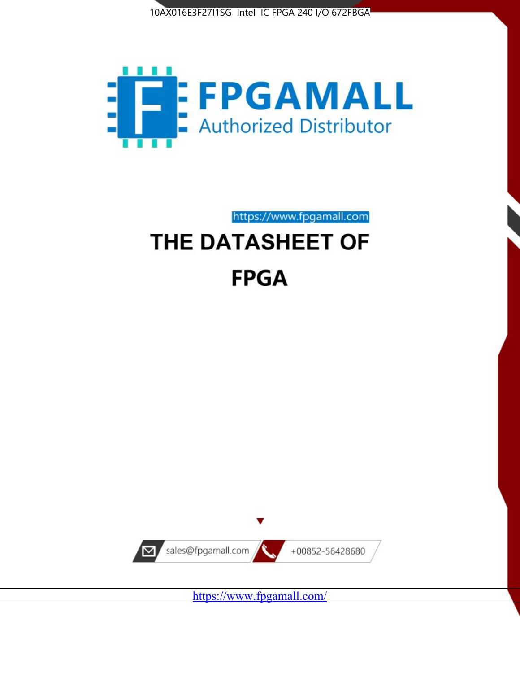



# https://www.fpgamall.com THE DATASHEET OF

# **FPGA**



<https://www.fpgamall.com/>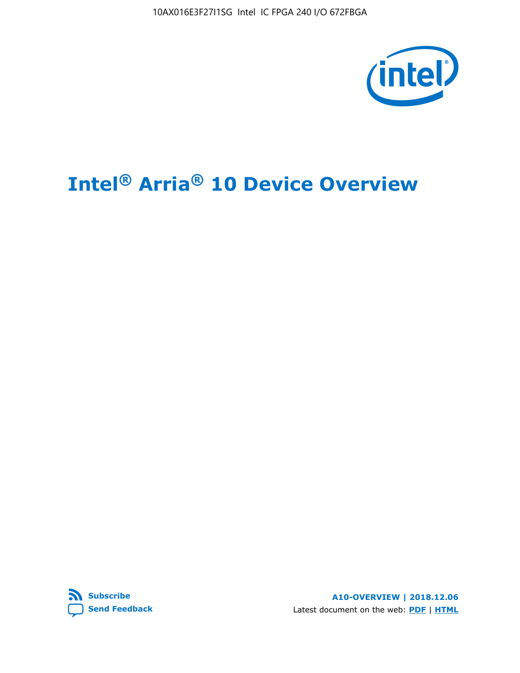10AX016E3F27I1SG Intel IC FPGA 240 I/O 672FBGA



# **Intel® Arria® 10 Device Overview**



**A10-OVERVIEW | 2018.12.06** Latest document on the web: **[PDF](https://www.intel.com/content/dam/www/programmable/us/en/pdfs/literature/hb/arria-10/a10_overview.pdf)** | **[HTML](https://www.intel.com/content/www/us/en/programmable/documentation/sam1403480274650.html)**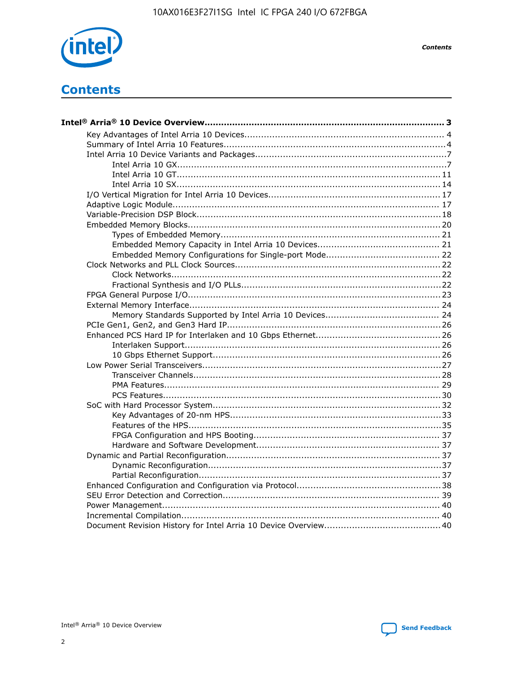

**Contents** 

# **Contents**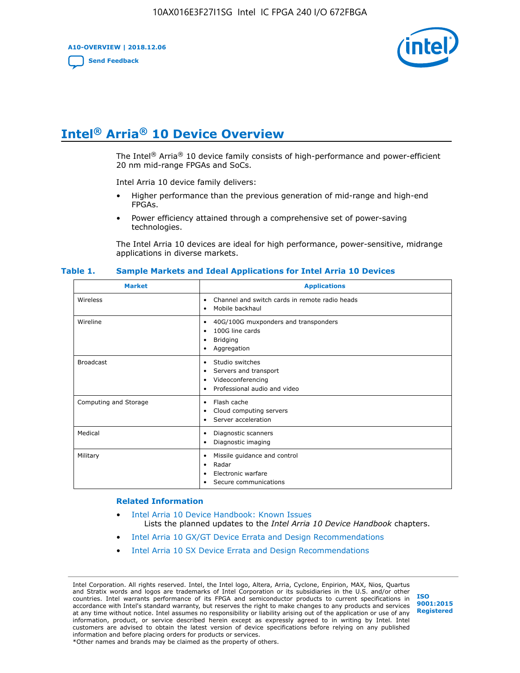**A10-OVERVIEW | 2018.12.06**

**[Send Feedback](mailto:FPGAtechdocfeedback@intel.com?subject=Feedback%20on%20Intel%20Arria%2010%20Device%20Overview%20(A10-OVERVIEW%202018.12.06)&body=We%20appreciate%20your%20feedback.%20In%20your%20comments,%20also%20specify%20the%20page%20number%20or%20paragraph.%20Thank%20you.)**



# **Intel® Arria® 10 Device Overview**

The Intel<sup>®</sup> Arria<sup>®</sup> 10 device family consists of high-performance and power-efficient 20 nm mid-range FPGAs and SoCs.

Intel Arria 10 device family delivers:

- Higher performance than the previous generation of mid-range and high-end FPGAs.
- Power efficiency attained through a comprehensive set of power-saving technologies.

The Intel Arria 10 devices are ideal for high performance, power-sensitive, midrange applications in diverse markets.

| <b>Market</b>         | <b>Applications</b>                                                                                               |
|-----------------------|-------------------------------------------------------------------------------------------------------------------|
| Wireless              | Channel and switch cards in remote radio heads<br>٠<br>Mobile backhaul<br>٠                                       |
| Wireline              | 40G/100G muxponders and transponders<br>٠<br>100G line cards<br>٠<br><b>Bridging</b><br>٠<br>Aggregation<br>٠     |
| <b>Broadcast</b>      | Studio switches<br>٠<br>Servers and transport<br>٠<br>Videoconferencing<br>٠<br>Professional audio and video<br>٠ |
| Computing and Storage | Flash cache<br>٠<br>Cloud computing servers<br>٠<br>Server acceleration<br>٠                                      |
| Medical               | Diagnostic scanners<br>٠<br>Diagnostic imaging<br>٠                                                               |
| Military              | Missile guidance and control<br>٠<br>Radar<br>٠<br>Electronic warfare<br>٠<br>Secure communications<br>٠          |

#### **Table 1. Sample Markets and Ideal Applications for Intel Arria 10 Devices**

#### **Related Information**

- [Intel Arria 10 Device Handbook: Known Issues](http://www.altera.com/support/kdb/solutions/rd07302013_646.html) Lists the planned updates to the *Intel Arria 10 Device Handbook* chapters.
- [Intel Arria 10 GX/GT Device Errata and Design Recommendations](https://www.intel.com/content/www/us/en/programmable/documentation/agz1493851706374.html#yqz1494433888646)
- [Intel Arria 10 SX Device Errata and Design Recommendations](https://www.intel.com/content/www/us/en/programmable/documentation/cru1462832385668.html#cru1462832558642)

Intel Corporation. All rights reserved. Intel, the Intel logo, Altera, Arria, Cyclone, Enpirion, MAX, Nios, Quartus and Stratix words and logos are trademarks of Intel Corporation or its subsidiaries in the U.S. and/or other countries. Intel warrants performance of its FPGA and semiconductor products to current specifications in accordance with Intel's standard warranty, but reserves the right to make changes to any products and services at any time without notice. Intel assumes no responsibility or liability arising out of the application or use of any information, product, or service described herein except as expressly agreed to in writing by Intel. Intel customers are advised to obtain the latest version of device specifications before relying on any published information and before placing orders for products or services. \*Other names and brands may be claimed as the property of others.

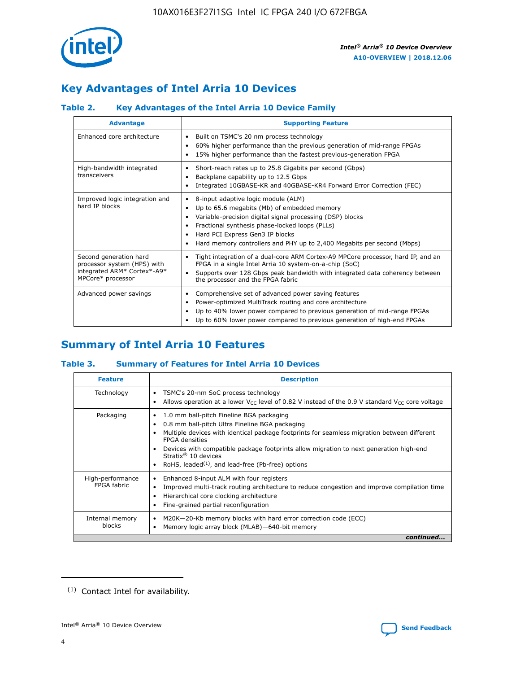

# **Key Advantages of Intel Arria 10 Devices**

## **Table 2. Key Advantages of the Intel Arria 10 Device Family**

| <b>Advantage</b>                                                                                          | <b>Supporting Feature</b>                                                                                                                                                                                                                                                                                                |
|-----------------------------------------------------------------------------------------------------------|--------------------------------------------------------------------------------------------------------------------------------------------------------------------------------------------------------------------------------------------------------------------------------------------------------------------------|
| Enhanced core architecture                                                                                | Built on TSMC's 20 nm process technology<br>٠<br>60% higher performance than the previous generation of mid-range FPGAs<br>٠<br>15% higher performance than the fastest previous-generation FPGA<br>٠                                                                                                                    |
| High-bandwidth integrated<br>transceivers                                                                 | Short-reach rates up to 25.8 Gigabits per second (Gbps)<br>٠<br>Backplane capability up to 12.5 Gbps<br>٠<br>Integrated 10GBASE-KR and 40GBASE-KR4 Forward Error Correction (FEC)<br>٠                                                                                                                                   |
| Improved logic integration and<br>hard IP blocks                                                          | 8-input adaptive logic module (ALM)<br>٠<br>Up to 65.6 megabits (Mb) of embedded memory<br>٠<br>Variable-precision digital signal processing (DSP) blocks<br>Fractional synthesis phase-locked loops (PLLs)<br>Hard PCI Express Gen3 IP blocks<br>Hard memory controllers and PHY up to 2,400 Megabits per second (Mbps) |
| Second generation hard<br>processor system (HPS) with<br>integrated ARM* Cortex*-A9*<br>MPCore* processor | Tight integration of a dual-core ARM Cortex-A9 MPCore processor, hard IP, and an<br>٠<br>FPGA in a single Intel Arria 10 system-on-a-chip (SoC)<br>Supports over 128 Gbps peak bandwidth with integrated data coherency between<br>$\bullet$<br>the processor and the FPGA fabric                                        |
| Advanced power savings                                                                                    | Comprehensive set of advanced power saving features<br>٠<br>Power-optimized MultiTrack routing and core architecture<br>٠<br>Up to 40% lower power compared to previous generation of mid-range FPGAs<br>Up to 60% lower power compared to previous generation of high-end FPGAs                                         |

# **Summary of Intel Arria 10 Features**

## **Table 3. Summary of Features for Intel Arria 10 Devices**

| <b>Feature</b>                  | <b>Description</b>                                                                                                                                                                                                                                                                                                                                                                                           |
|---------------------------------|--------------------------------------------------------------------------------------------------------------------------------------------------------------------------------------------------------------------------------------------------------------------------------------------------------------------------------------------------------------------------------------------------------------|
| Technology                      | TSMC's 20-nm SoC process technology<br>Allows operation at a lower $V_{\text{CC}}$ level of 0.82 V instead of the 0.9 V standard $V_{\text{CC}}$ core voltage                                                                                                                                                                                                                                                |
| Packaging                       | 1.0 mm ball-pitch Fineline BGA packaging<br>٠<br>0.8 mm ball-pitch Ultra Fineline BGA packaging<br>Multiple devices with identical package footprints for seamless migration between different<br><b>FPGA</b> densities<br>Devices with compatible package footprints allow migration to next generation high-end<br>Stratix <sup>®</sup> 10 devices<br>RoHS, leaded $(1)$ , and lead-free (Pb-free) options |
| High-performance<br>FPGA fabric | Enhanced 8-input ALM with four registers<br>Improved multi-track routing architecture to reduce congestion and improve compilation time<br>Hierarchical core clocking architecture<br>Fine-grained partial reconfiguration                                                                                                                                                                                   |
| Internal memory<br>blocks       | M20K-20-Kb memory blocks with hard error correction code (ECC)<br>Memory logic array block (MLAB)-640-bit memory                                                                                                                                                                                                                                                                                             |
|                                 | continued                                                                                                                                                                                                                                                                                                                                                                                                    |



<sup>(1)</sup> Contact Intel for availability.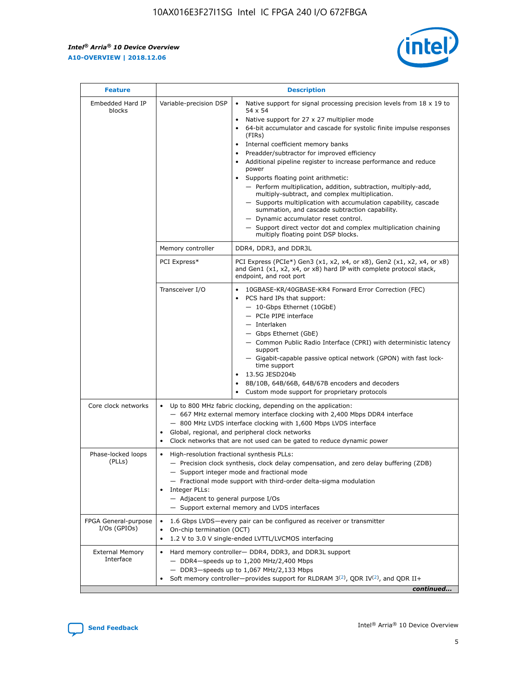r



| <b>Feature</b>                         | <b>Description</b>                                                                                             |                                                                                                                                                                                                                                                                                                                                                                                                                                                                                                                                                                                                                                                                                                                                                                                                                                        |  |  |  |  |  |
|----------------------------------------|----------------------------------------------------------------------------------------------------------------|----------------------------------------------------------------------------------------------------------------------------------------------------------------------------------------------------------------------------------------------------------------------------------------------------------------------------------------------------------------------------------------------------------------------------------------------------------------------------------------------------------------------------------------------------------------------------------------------------------------------------------------------------------------------------------------------------------------------------------------------------------------------------------------------------------------------------------------|--|--|--|--|--|
| Embedded Hard IP<br>blocks             | Variable-precision DSP                                                                                         | Native support for signal processing precision levels from $18 \times 19$ to<br>54 x 54<br>Native support for 27 x 27 multiplier mode<br>64-bit accumulator and cascade for systolic finite impulse responses<br>(FIRs)<br>Internal coefficient memory banks<br>$\bullet$<br>Preadder/subtractor for improved efficiency<br>Additional pipeline register to increase performance and reduce<br>power<br>Supports floating point arithmetic:<br>- Perform multiplication, addition, subtraction, multiply-add,<br>multiply-subtract, and complex multiplication.<br>- Supports multiplication with accumulation capability, cascade<br>summation, and cascade subtraction capability.<br>- Dynamic accumulator reset control.<br>- Support direct vector dot and complex multiplication chaining<br>multiply floating point DSP blocks. |  |  |  |  |  |
|                                        | Memory controller                                                                                              | DDR4, DDR3, and DDR3L                                                                                                                                                                                                                                                                                                                                                                                                                                                                                                                                                                                                                                                                                                                                                                                                                  |  |  |  |  |  |
|                                        | PCI Express*                                                                                                   | PCI Express (PCIe*) Gen3 (x1, x2, x4, or x8), Gen2 (x1, x2, x4, or x8)<br>and Gen1 (x1, x2, x4, or x8) hard IP with complete protocol stack,<br>endpoint, and root port                                                                                                                                                                                                                                                                                                                                                                                                                                                                                                                                                                                                                                                                |  |  |  |  |  |
|                                        | Transceiver I/O                                                                                                | 10GBASE-KR/40GBASE-KR4 Forward Error Correction (FEC)<br>PCS hard IPs that support:<br>$\bullet$<br>- 10-Gbps Ethernet (10GbE)<br>- PCIe PIPE interface<br>$-$ Interlaken<br>- Gbps Ethernet (GbE)<br>- Common Public Radio Interface (CPRI) with deterministic latency<br>support<br>- Gigabit-capable passive optical network (GPON) with fast lock-<br>time support<br>13.5G JESD204b<br>$\bullet$<br>8B/10B, 64B/66B, 64B/67B encoders and decoders<br>Custom mode support for proprietary protocols                                                                                                                                                                                                                                                                                                                               |  |  |  |  |  |
| Core clock networks                    | $\bullet$<br>$\bullet$                                                                                         | Up to 800 MHz fabric clocking, depending on the application:<br>- 667 MHz external memory interface clocking with 2,400 Mbps DDR4 interface<br>- 800 MHz LVDS interface clocking with 1,600 Mbps LVDS interface<br>Global, regional, and peripheral clock networks<br>Clock networks that are not used can be gated to reduce dynamic power                                                                                                                                                                                                                                                                                                                                                                                                                                                                                            |  |  |  |  |  |
| Phase-locked loops<br>(PLLs)           | High-resolution fractional synthesis PLLs:<br>$\bullet$<br>Integer PLLs:<br>- Adjacent to general purpose I/Os | - Precision clock synthesis, clock delay compensation, and zero delay buffering (ZDB)<br>- Support integer mode and fractional mode<br>- Fractional mode support with third-order delta-sigma modulation<br>- Support external memory and LVDS interfaces                                                                                                                                                                                                                                                                                                                                                                                                                                                                                                                                                                              |  |  |  |  |  |
| FPGA General-purpose<br>$I/Os$ (GPIOs) | On-chip termination (OCT)                                                                                      | 1.6 Gbps LVDS-every pair can be configured as receiver or transmitter<br>1.2 V to 3.0 V single-ended LVTTL/LVCMOS interfacing                                                                                                                                                                                                                                                                                                                                                                                                                                                                                                                                                                                                                                                                                                          |  |  |  |  |  |
| <b>External Memory</b><br>Interface    |                                                                                                                | Hard memory controller- DDR4, DDR3, and DDR3L support<br>$-$ DDR4 $-$ speeds up to 1,200 MHz/2,400 Mbps<br>- DDR3-speeds up to 1,067 MHz/2,133 Mbps<br>Soft memory controller—provides support for RLDRAM $3^{(2)}$ , QDR IV $^{(2)}$ , and QDR II+<br>continued                                                                                                                                                                                                                                                                                                                                                                                                                                                                                                                                                                       |  |  |  |  |  |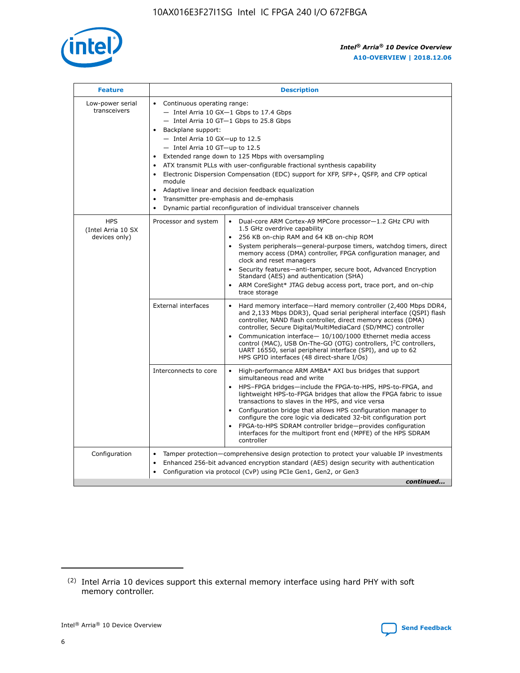

| <b>Feature</b>                                    | <b>Description</b>                                                                                                                                                                                                                                                                                                                                                                                                                                                                                                                                                                                                                                                 |
|---------------------------------------------------|--------------------------------------------------------------------------------------------------------------------------------------------------------------------------------------------------------------------------------------------------------------------------------------------------------------------------------------------------------------------------------------------------------------------------------------------------------------------------------------------------------------------------------------------------------------------------------------------------------------------------------------------------------------------|
| Low-power serial<br>transceivers                  | • Continuous operating range:<br>- Intel Arria 10 GX-1 Gbps to 17.4 Gbps<br>- Intel Arria 10 GT-1 Gbps to 25.8 Gbps<br>Backplane support:<br>$-$ Intel Arria 10 GX-up to 12.5<br>- Intel Arria 10 GT-up to 12.5<br>Extended range down to 125 Mbps with oversampling<br>ATX transmit PLLs with user-configurable fractional synthesis capability<br>$\bullet$<br>Electronic Dispersion Compensation (EDC) support for XFP, SFP+, OSFP, and CFP optical<br>module<br>Adaptive linear and decision feedback equalization<br>$\bullet$<br>Transmitter pre-emphasis and de-emphasis<br>$\bullet$<br>Dynamic partial reconfiguration of individual transceiver channels |
| <b>HPS</b><br>(Intel Arria 10 SX<br>devices only) | • Dual-core ARM Cortex-A9 MPCore processor-1.2 GHz CPU with<br>Processor and system<br>1.5 GHz overdrive capability<br>256 KB on-chip RAM and 64 KB on-chip ROM<br>$\bullet$<br>System peripherals—general-purpose timers, watchdog timers, direct<br>memory access (DMA) controller, FPGA configuration manager, and<br>clock and reset managers<br>Security features—anti-tamper, secure boot, Advanced Encryption<br>$\bullet$<br>Standard (AES) and authentication (SHA)<br>ARM CoreSight* JTAG debug access port, trace port, and on-chip<br>$\bullet$<br>trace storage                                                                                       |
|                                                   | <b>External interfaces</b><br>Hard memory interface-Hard memory controller (2,400 Mbps DDR4,<br>$\bullet$<br>and 2,133 Mbps DDR3), Quad serial peripheral interface (OSPI) flash<br>controller, NAND flash controller, direct memory access (DMA)<br>controller, Secure Digital/MultiMediaCard (SD/MMC) controller<br>Communication interface-10/100/1000 Ethernet media access<br>$\bullet$<br>control (MAC), USB On-The-GO (OTG) controllers, I <sup>2</sup> C controllers,<br>UART 16550, serial peripheral interface (SPI), and up to 62<br>HPS GPIO interfaces (48 direct-share I/Os)                                                                         |
|                                                   | Interconnects to core<br>High-performance ARM AMBA* AXI bus bridges that support<br>$\bullet$<br>simultaneous read and write<br>HPS-FPGA bridges-include the FPGA-to-HPS, HPS-to-FPGA, and<br>$\bullet$<br>lightweight HPS-to-FPGA bridges that allow the FPGA fabric to issue<br>transactions to slaves in the HPS, and vice versa<br>Configuration bridge that allows HPS configuration manager to<br>configure the core logic via dedicated 32-bit configuration port<br>FPGA-to-HPS SDRAM controller bridge-provides configuration<br>interfaces for the multiport front end (MPFE) of the HPS SDRAM<br>controller                                             |
| Configuration                                     | Tamper protection—comprehensive design protection to protect your valuable IP investments<br>Enhanced 256-bit advanced encryption standard (AES) design security with authentication<br>٠<br>Configuration via protocol (CvP) using PCIe Gen1, Gen2, or Gen3<br>continued                                                                                                                                                                                                                                                                                                                                                                                          |

<sup>(2)</sup> Intel Arria 10 devices support this external memory interface using hard PHY with soft memory controller.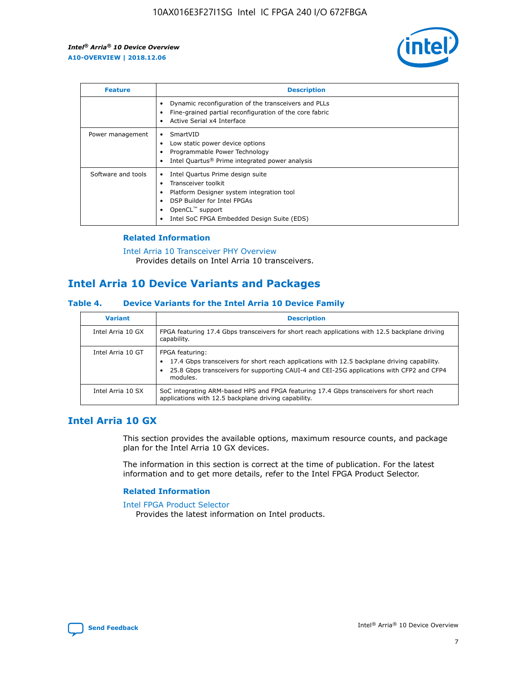

| <b>Feature</b>     | <b>Description</b>                                                                                                                                                                                               |
|--------------------|------------------------------------------------------------------------------------------------------------------------------------------------------------------------------------------------------------------|
|                    | Dynamic reconfiguration of the transceivers and PLLs<br>Fine-grained partial reconfiguration of the core fabric<br>Active Serial x4 Interface                                                                    |
| Power management   | SmartVID<br>Low static power device options<br>Programmable Power Technology<br>Intel Quartus <sup>®</sup> Prime integrated power analysis                                                                       |
| Software and tools | Intel Quartus Prime design suite<br>Transceiver toolkit<br>Platform Designer system integration tool<br>DSP Builder for Intel FPGAs<br>OpenCL <sup>™</sup> support<br>Intel SoC FPGA Embedded Design Suite (EDS) |

## **Related Information**

[Intel Arria 10 Transceiver PHY Overview](https://www.intel.com/content/www/us/en/programmable/documentation/nik1398707230472.html#nik1398706768037) Provides details on Intel Arria 10 transceivers.

## **Intel Arria 10 Device Variants and Packages**

#### **Table 4. Device Variants for the Intel Arria 10 Device Family**

| <b>Variant</b>    | <b>Description</b>                                                                                                                                                                                                     |
|-------------------|------------------------------------------------------------------------------------------------------------------------------------------------------------------------------------------------------------------------|
| Intel Arria 10 GX | FPGA featuring 17.4 Gbps transceivers for short reach applications with 12.5 backplane driving<br>capability.                                                                                                          |
| Intel Arria 10 GT | FPGA featuring:<br>17.4 Gbps transceivers for short reach applications with 12.5 backplane driving capability.<br>25.8 Gbps transceivers for supporting CAUI-4 and CEI-25G applications with CFP2 and CFP4<br>modules. |
| Intel Arria 10 SX | SoC integrating ARM-based HPS and FPGA featuring 17.4 Gbps transceivers for short reach<br>applications with 12.5 backplane driving capability.                                                                        |

## **Intel Arria 10 GX**

This section provides the available options, maximum resource counts, and package plan for the Intel Arria 10 GX devices.

The information in this section is correct at the time of publication. For the latest information and to get more details, refer to the Intel FPGA Product Selector.

#### **Related Information**

#### [Intel FPGA Product Selector](http://www.altera.com/products/selector/psg-selector.html) Provides the latest information on Intel products.

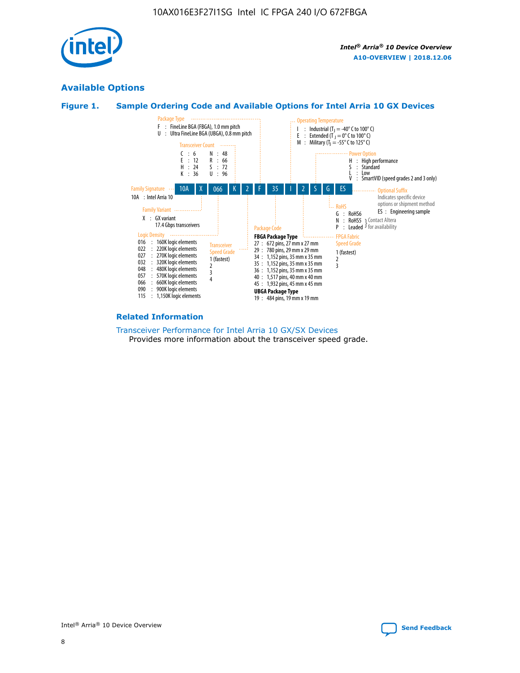

## **Available Options**





#### **Related Information**

#### [Transceiver Performance for Intel Arria 10 GX/SX Devices](https://www.intel.com/content/www/us/en/programmable/documentation/mcn1413182292568.html#mcn1413213965502) Provides more information about the transceiver speed grade.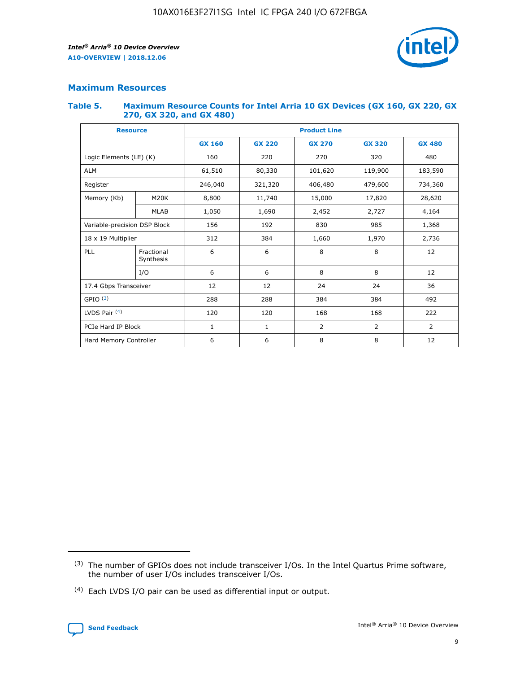

## **Maximum Resources**

#### **Table 5. Maximum Resource Counts for Intel Arria 10 GX Devices (GX 160, GX 220, GX 270, GX 320, and GX 480)**

| <b>Resource</b>              |                         | <b>Product Line</b> |                                |                |                |                |  |  |  |
|------------------------------|-------------------------|---------------------|--------------------------------|----------------|----------------|----------------|--|--|--|
|                              |                         | <b>GX 160</b>       | <b>GX 220</b><br><b>GX 270</b> |                | <b>GX 320</b>  | <b>GX 480</b>  |  |  |  |
| Logic Elements (LE) (K)      |                         | 160                 | 220                            | 270            | 320            | 480            |  |  |  |
| <b>ALM</b>                   |                         | 61,510              | 80,330                         | 101,620        | 119,900        | 183,590        |  |  |  |
| Register                     |                         | 246,040             | 321,320                        | 406,480        |                | 734,360        |  |  |  |
| Memory (Kb)                  | M <sub>20</sub> K       | 8,800               | 11,740                         | 15,000         | 17,820         | 28,620         |  |  |  |
| <b>MLAB</b>                  |                         | 1,050               | 1,690<br>2,452                 |                | 2,727          | 4,164          |  |  |  |
| Variable-precision DSP Block |                         | 156                 | 192                            |                | 985            | 1,368          |  |  |  |
| 18 x 19 Multiplier           |                         | 312                 | 384                            | 1,970<br>1,660 |                | 2,736          |  |  |  |
| PLL                          | Fractional<br>Synthesis | 6                   | 6                              | 8              | 8              | 12             |  |  |  |
|                              | I/O                     | 6                   | 6                              | 8              | 8              | 12             |  |  |  |
| 17.4 Gbps Transceiver        |                         | 12                  | 12                             | 24             | 24             | 36             |  |  |  |
| GPIO <sup>(3)</sup>          |                         | 288                 | 288                            | 384<br>384     |                | 492            |  |  |  |
| LVDS Pair $(4)$              |                         | 120                 | 120                            | 168            | 168            | 222            |  |  |  |
| PCIe Hard IP Block           |                         | 1                   | 1                              | 2              | $\overline{2}$ | $\overline{2}$ |  |  |  |
| Hard Memory Controller       |                         | 6                   | 6                              | 8              | 8              | 12             |  |  |  |

<sup>(4)</sup> Each LVDS I/O pair can be used as differential input or output.



<sup>(3)</sup> The number of GPIOs does not include transceiver I/Os. In the Intel Quartus Prime software, the number of user I/Os includes transceiver I/Os.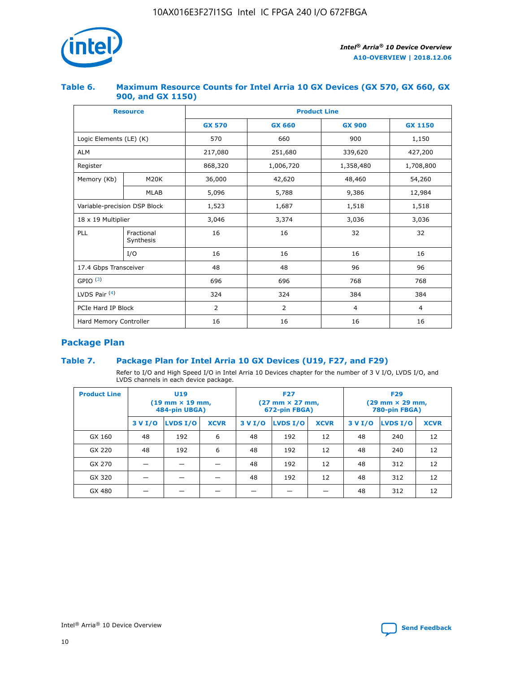

## **Table 6. Maximum Resource Counts for Intel Arria 10 GX Devices (GX 570, GX 660, GX 900, and GX 1150)**

|                              | <b>Resource</b>         | <b>Product Line</b> |                |                |                |  |  |  |
|------------------------------|-------------------------|---------------------|----------------|----------------|----------------|--|--|--|
|                              |                         | <b>GX 570</b>       | <b>GX 660</b>  | <b>GX 900</b>  | <b>GX 1150</b> |  |  |  |
| Logic Elements (LE) (K)      |                         | 570                 | 660            | 900            | 1,150          |  |  |  |
| <b>ALM</b>                   |                         | 217,080             | 251,680        | 339,620        | 427,200        |  |  |  |
| Register                     |                         | 868,320             | 1,006,720      | 1,358,480      | 1,708,800      |  |  |  |
| Memory (Kb)                  | <b>M20K</b>             | 36,000              | 42,620         | 48,460         | 54,260         |  |  |  |
| <b>MLAB</b>                  |                         | 5,096               | 5,788          | 9,386          | 12,984         |  |  |  |
| Variable-precision DSP Block |                         | 1,523               | 1,687          | 1,518          | 1,518          |  |  |  |
| 18 x 19 Multiplier           |                         | 3,046               | 3,374          | 3,036          | 3,036          |  |  |  |
| PLL                          | Fractional<br>Synthesis | 16                  | 16             | 32             | 32             |  |  |  |
|                              | I/O                     | 16                  | 16             | 16             | 16             |  |  |  |
| 17.4 Gbps Transceiver        |                         | 48                  | 48             | 96             | 96             |  |  |  |
| GPIO <sup>(3)</sup>          |                         | 696                 | 696            | 768            | 768            |  |  |  |
| LVDS Pair $(4)$              |                         | 324                 | 324            | 384            | 384            |  |  |  |
| PCIe Hard IP Block           |                         | 2                   | $\overline{2}$ | $\overline{4}$ | $\overline{4}$ |  |  |  |
| Hard Memory Controller       |                         | 16                  | 16             | 16             | 16             |  |  |  |

## **Package Plan**

## **Table 7. Package Plan for Intel Arria 10 GX Devices (U19, F27, and F29)**

Refer to I/O and High Speed I/O in Intel Arria 10 Devices chapter for the number of 3 V I/O, LVDS I/O, and LVDS channels in each device package.

| <b>Product Line</b> | U <sub>19</sub><br>$(19 \text{ mm} \times 19 \text{ mm})$<br>484-pin UBGA) |          |             |         | <b>F27</b><br>(27 mm × 27 mm,<br>672-pin FBGA) |             | <b>F29</b><br>(29 mm × 29 mm,<br>780-pin FBGA) |          |             |  |
|---------------------|----------------------------------------------------------------------------|----------|-------------|---------|------------------------------------------------|-------------|------------------------------------------------|----------|-------------|--|
|                     | 3 V I/O                                                                    | LVDS I/O | <b>XCVR</b> | 3 V I/O | <b>LVDS I/O</b>                                | <b>XCVR</b> | 3 V I/O                                        | LVDS I/O | <b>XCVR</b> |  |
| GX 160              | 48                                                                         | 192      | 6           | 48      | 192                                            | 12          | 48                                             | 240      | 12          |  |
| GX 220              | 48                                                                         | 192      | 6           | 48      | 192                                            | 12          | 48                                             | 240      | 12          |  |
| GX 270              |                                                                            |          |             | 48      | 192                                            | 12          | 48                                             | 312      | 12          |  |
| GX 320              |                                                                            |          |             | 48      | 192                                            | 12          | 48                                             | 312      | 12          |  |
| GX 480              |                                                                            |          |             |         |                                                |             | 48                                             | 312      | 12          |  |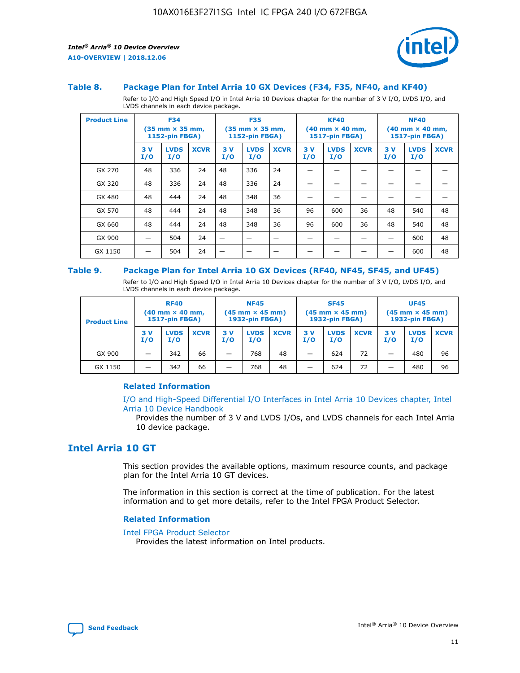

#### **Table 8. Package Plan for Intel Arria 10 GX Devices (F34, F35, NF40, and KF40)**

Refer to I/O and High Speed I/O in Intel Arria 10 Devices chapter for the number of 3 V I/O, LVDS I/O, and LVDS channels in each device package.

| <b>Product Line</b> | <b>F34</b><br>$(35 \text{ mm} \times 35 \text{ mm})$<br>1152-pin FBGA) |                    | <b>F35</b><br>$(35 \text{ mm} \times 35 \text{ mm})$<br><b>1152-pin FBGA)</b> |           | <b>KF40</b><br>$(40$ mm $\times$ 40 mm,<br>1517-pin FBGA) |             |           | <b>NF40</b><br>$(40$ mm $\times$ 40 mm,<br><b>1517-pin FBGA)</b> |             |            |                    |             |
|---------------------|------------------------------------------------------------------------|--------------------|-------------------------------------------------------------------------------|-----------|-----------------------------------------------------------|-------------|-----------|------------------------------------------------------------------|-------------|------------|--------------------|-------------|
|                     | 3V<br>I/O                                                              | <b>LVDS</b><br>I/O | <b>XCVR</b>                                                                   | 3V<br>I/O | <b>LVDS</b><br>I/O                                        | <b>XCVR</b> | 3V<br>I/O | <b>LVDS</b><br>I/O                                               | <b>XCVR</b> | 3 V<br>I/O | <b>LVDS</b><br>I/O | <b>XCVR</b> |
| GX 270              | 48                                                                     | 336                | 24                                                                            | 48        | 336                                                       | 24          |           |                                                                  |             |            |                    |             |
| GX 320              | 48                                                                     | 336                | 24                                                                            | 48        | 336                                                       | 24          |           |                                                                  |             |            |                    |             |
| GX 480              | 48                                                                     | 444                | 24                                                                            | 48        | 348                                                       | 36          |           |                                                                  |             |            |                    |             |
| GX 570              | 48                                                                     | 444                | 24                                                                            | 48        | 348                                                       | 36          | 96        | 600                                                              | 36          | 48         | 540                | 48          |
| GX 660              | 48                                                                     | 444                | 24                                                                            | 48        | 348                                                       | 36          | 96        | 600                                                              | 36          | 48         | 540                | 48          |
| GX 900              |                                                                        | 504                | 24                                                                            | -         |                                                           |             |           |                                                                  |             |            | 600                | 48          |
| GX 1150             |                                                                        | 504                | 24                                                                            |           |                                                           |             |           |                                                                  |             |            | 600                | 48          |

#### **Table 9. Package Plan for Intel Arria 10 GX Devices (RF40, NF45, SF45, and UF45)**

Refer to I/O and High Speed I/O in Intel Arria 10 Devices chapter for the number of 3 V I/O, LVDS I/O, and LVDS channels in each device package.

| <b>Product Line</b> | <b>RF40</b><br>$(40$ mm $\times$ 40 mm,<br>1517-pin FBGA) |                    |             | <b>NF45</b><br>$(45 \text{ mm} \times 45 \text{ mm})$<br><b>1932-pin FBGA)</b> |                    |             | <b>SF45</b><br>$(45 \text{ mm} \times 45 \text{ mm})$<br><b>1932-pin FBGA)</b> |                    |             | <b>UF45</b><br>$(45 \text{ mm} \times 45 \text{ mm})$<br><b>1932-pin FBGA)</b> |                    |             |
|---------------------|-----------------------------------------------------------|--------------------|-------------|--------------------------------------------------------------------------------|--------------------|-------------|--------------------------------------------------------------------------------|--------------------|-------------|--------------------------------------------------------------------------------|--------------------|-------------|
|                     | 3V<br>I/O                                                 | <b>LVDS</b><br>I/O | <b>XCVR</b> | 3 V<br>I/O                                                                     | <b>LVDS</b><br>I/O | <b>XCVR</b> | 3 V<br>I/O                                                                     | <b>LVDS</b><br>I/O | <b>XCVR</b> | 3V<br>I/O                                                                      | <b>LVDS</b><br>I/O | <b>XCVR</b> |
| GX 900              |                                                           | 342                | 66          | _                                                                              | 768                | 48          |                                                                                | 624                | 72          |                                                                                | 480                | 96          |
| GX 1150             |                                                           | 342                | 66          | _                                                                              | 768                | 48          |                                                                                | 624                | 72          |                                                                                | 480                | 96          |

### **Related Information**

[I/O and High-Speed Differential I/O Interfaces in Intel Arria 10 Devices chapter, Intel](https://www.intel.com/content/www/us/en/programmable/documentation/sam1403482614086.html#sam1403482030321) [Arria 10 Device Handbook](https://www.intel.com/content/www/us/en/programmable/documentation/sam1403482614086.html#sam1403482030321)

Provides the number of 3 V and LVDS I/Os, and LVDS channels for each Intel Arria 10 device package.

## **Intel Arria 10 GT**

This section provides the available options, maximum resource counts, and package plan for the Intel Arria 10 GT devices.

The information in this section is correct at the time of publication. For the latest information and to get more details, refer to the Intel FPGA Product Selector.

#### **Related Information**

#### [Intel FPGA Product Selector](http://www.altera.com/products/selector/psg-selector.html)

Provides the latest information on Intel products.

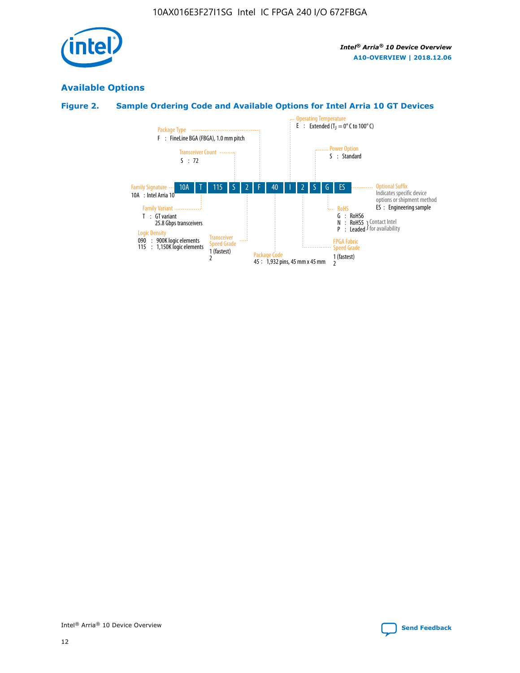

## **Available Options**

## **Figure 2. Sample Ordering Code and Available Options for Intel Arria 10 GT Devices**

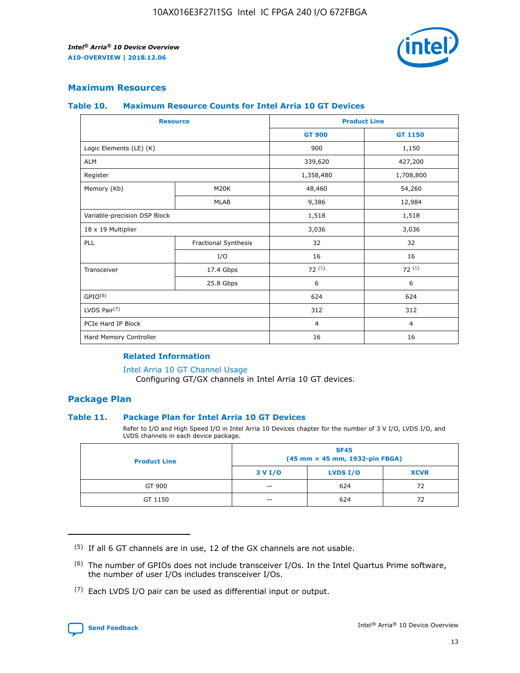

## **Maximum Resources**

#### **Table 10. Maximum Resource Counts for Intel Arria 10 GT Devices**

| <b>Resource</b>              |                      |                | <b>Product Line</b> |  |
|------------------------------|----------------------|----------------|---------------------|--|
|                              |                      | <b>GT 900</b>  | <b>GT 1150</b>      |  |
| Logic Elements (LE) (K)      |                      | 900            | 1,150               |  |
| <b>ALM</b>                   |                      | 339,620        | 427,200             |  |
| Register                     |                      | 1,358,480      | 1,708,800           |  |
| Memory (Kb)                  | M20K                 | 48,460         | 54,260              |  |
|                              | <b>MLAB</b>          | 9,386          | 12,984              |  |
| Variable-precision DSP Block |                      | 1,518          | 1,518               |  |
| 18 x 19 Multiplier           |                      | 3,036          | 3,036               |  |
| PLL                          | Fractional Synthesis | 32             | 32                  |  |
|                              | I/O                  | 16             | 16                  |  |
| Transceiver                  | 17.4 Gbps            | 72(5)          | 72(5)               |  |
|                              | 25.8 Gbps            | 6              | 6                   |  |
| GPIO <sup>(6)</sup>          |                      | 624            | 624                 |  |
| LVDS Pair $(7)$              |                      | 312            | 312                 |  |
| PCIe Hard IP Block           |                      | $\overline{4}$ | $\overline{4}$      |  |
| Hard Memory Controller       |                      | 16             | 16                  |  |

### **Related Information**

#### [Intel Arria 10 GT Channel Usage](https://www.intel.com/content/www/us/en/programmable/documentation/nik1398707230472.html#nik1398707008178)

Configuring GT/GX channels in Intel Arria 10 GT devices.

## **Package Plan**

### **Table 11. Package Plan for Intel Arria 10 GT Devices**

Refer to I/O and High Speed I/O in Intel Arria 10 Devices chapter for the number of 3 V I/O, LVDS I/O, and LVDS channels in each device package.

| <b>Product Line</b> | <b>SF45</b><br>(45 mm × 45 mm, 1932-pin FBGA) |                 |             |  |  |  |  |
|---------------------|-----------------------------------------------|-----------------|-------------|--|--|--|--|
|                     | 3 V I/O                                       | <b>LVDS I/O</b> | <b>XCVR</b> |  |  |  |  |
| GT 900              |                                               | 624             | 72          |  |  |  |  |
| GT 1150             |                                               | 624             |             |  |  |  |  |

<sup>(7)</sup> Each LVDS I/O pair can be used as differential input or output.



 $(5)$  If all 6 GT channels are in use, 12 of the GX channels are not usable.

<sup>(6)</sup> The number of GPIOs does not include transceiver I/Os. In the Intel Quartus Prime software, the number of user I/Os includes transceiver I/Os.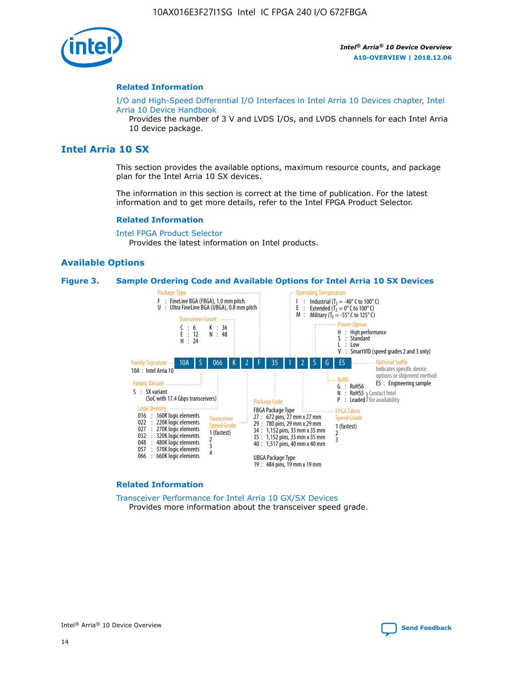

#### **Related Information**

[I/O and High-Speed Differential I/O Interfaces in Intel Arria 10 Devices chapter, Intel](https://www.intel.com/content/www/us/en/programmable/documentation/sam1403482614086.html#sam1403482030321) [Arria 10 Device Handbook](https://www.intel.com/content/www/us/en/programmable/documentation/sam1403482614086.html#sam1403482030321)

Provides the number of 3 V and LVDS I/Os, and LVDS channels for each Intel Arria 10 device package.

## **Intel Arria 10 SX**

This section provides the available options, maximum resource counts, and package plan for the Intel Arria 10 SX devices.

The information in this section is correct at the time of publication. For the latest information and to get more details, refer to the Intel FPGA Product Selector.

#### **Related Information**

[Intel FPGA Product Selector](http://www.altera.com/products/selector/psg-selector.html) Provides the latest information on Intel products.

### **Available Options**

#### **Figure 3. Sample Ordering Code and Available Options for Intel Arria 10 SX Devices**



#### **Related Information**

[Transceiver Performance for Intel Arria 10 GX/SX Devices](https://www.intel.com/content/www/us/en/programmable/documentation/mcn1413182292568.html#mcn1413213965502) Provides more information about the transceiver speed grade.

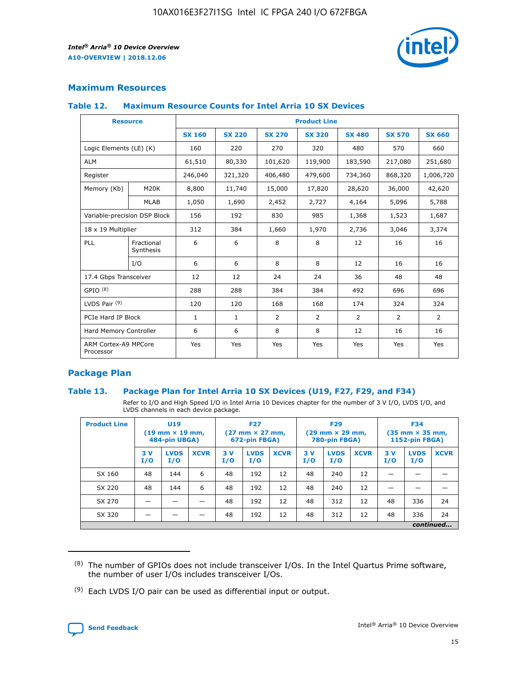

## **Maximum Resources**

#### **Table 12. Maximum Resource Counts for Intel Arria 10 SX Devices**

|                                   | <b>Resource</b>         | <b>Product Line</b> |               |                |                |                |                |                |  |  |  |
|-----------------------------------|-------------------------|---------------------|---------------|----------------|----------------|----------------|----------------|----------------|--|--|--|
|                                   |                         | <b>SX 160</b>       | <b>SX 220</b> | <b>SX 270</b>  | <b>SX 320</b>  | <b>SX 480</b>  | <b>SX 570</b>  | <b>SX 660</b>  |  |  |  |
| Logic Elements (LE) (K)           |                         | 160                 | 220           | 270            | 320            | 480            | 570            | 660            |  |  |  |
| <b>ALM</b>                        |                         | 61,510              | 80,330        | 101,620        | 119,900        | 183,590        | 217,080        | 251,680        |  |  |  |
| Register                          |                         | 246,040             | 321,320       | 406,480        | 479,600        | 734,360        | 868,320        | 1,006,720      |  |  |  |
| Memory (Kb)                       | M <sub>20</sub> K       | 8,800               | 11,740        | 15,000         | 17,820         | 28,620         | 36,000         | 42,620         |  |  |  |
|                                   | <b>MLAB</b>             | 1,050               | 1,690         | 2,452          | 2,727          | 4,164          | 5,096          | 5,788          |  |  |  |
| Variable-precision DSP Block      |                         | 156                 | 192           | 830            | 985            | 1,368          | 1,523          | 1,687          |  |  |  |
| 18 x 19 Multiplier                |                         | 312                 | 384           | 1,660          | 1,970          | 2,736          | 3,046          | 3,374          |  |  |  |
| <b>PLL</b>                        | Fractional<br>Synthesis | 6                   | 6             | 8              | 8              | 12             | 16             | 16             |  |  |  |
|                                   | I/O                     | 6                   | 6             | 8              | 8              | 12             | 16             | 16             |  |  |  |
| 17.4 Gbps Transceiver             |                         | 12                  | 12            | 24             | 24             | 36             | 48             | 48             |  |  |  |
| GPIO <sup>(8)</sup>               |                         | 288                 | 288           | 384            | 384            | 492            | 696            | 696            |  |  |  |
| LVDS Pair $(9)$                   |                         | 120                 | 120           | 168            | 168            | 174            | 324            | 324            |  |  |  |
| PCIe Hard IP Block                |                         | $\mathbf{1}$        | $\mathbf{1}$  | $\overline{2}$ | $\overline{2}$ | $\overline{2}$ | $\overline{2}$ | $\overline{2}$ |  |  |  |
| Hard Memory Controller            |                         | 6                   | 6             | 8              | 8              | 12             | 16             | 16             |  |  |  |
| ARM Cortex-A9 MPCore<br>Processor |                         | Yes                 | Yes           | Yes            | Yes            | Yes            | Yes            | Yes            |  |  |  |

## **Package Plan**

### **Table 13. Package Plan for Intel Arria 10 SX Devices (U19, F27, F29, and F34)**

Refer to I/O and High Speed I/O in Intel Arria 10 Devices chapter for the number of 3 V I/O, LVDS I/O, and LVDS channels in each device package.

| <b>Product Line</b> | <b>U19</b><br>$(19 \text{ mm} \times 19 \text{ mm})$<br>484-pin UBGA) |                    |             | <b>F27</b><br>$(27 \text{ mm} \times 27 \text{ mm})$<br>672-pin FBGA) |                    | <b>F29</b><br>$(29 \text{ mm} \times 29 \text{ mm})$<br>780-pin FBGA) |           |                    | <b>F34</b><br>$(35 \text{ mm} \times 35 \text{ mm})$<br><b>1152-pin FBGA)</b> |           |                    |             |
|---------------------|-----------------------------------------------------------------------|--------------------|-------------|-----------------------------------------------------------------------|--------------------|-----------------------------------------------------------------------|-----------|--------------------|-------------------------------------------------------------------------------|-----------|--------------------|-------------|
|                     | 3V<br>I/O                                                             | <b>LVDS</b><br>I/O | <b>XCVR</b> | 3V<br>I/O                                                             | <b>LVDS</b><br>I/O | <b>XCVR</b>                                                           | 3V<br>I/O | <b>LVDS</b><br>I/O | <b>XCVR</b>                                                                   | 3V<br>I/O | <b>LVDS</b><br>I/O | <b>XCVR</b> |
| SX 160              | 48                                                                    | 144                | 6           | 48                                                                    | 192                | 12                                                                    | 48        | 240                | 12                                                                            | -         |                    |             |
| SX 220              | 48                                                                    | 144                | 6           | 48                                                                    | 192                | 12                                                                    | 48        | 240                | 12                                                                            |           |                    |             |
| SX 270              |                                                                       |                    |             | 48                                                                    | 192                | 12                                                                    | 48        | 312                | 12                                                                            | 48        | 336                | 24          |
| SX 320              |                                                                       |                    |             | 48                                                                    | 192                | 12                                                                    | 48        | 312                | 12                                                                            | 48        | 336                | 24          |
|                     | continued                                                             |                    |             |                                                                       |                    |                                                                       |           |                    |                                                                               |           |                    |             |

 $(8)$  The number of GPIOs does not include transceiver I/Os. In the Intel Quartus Prime software, the number of user I/Os includes transceiver I/Os.

 $(9)$  Each LVDS I/O pair can be used as differential input or output.

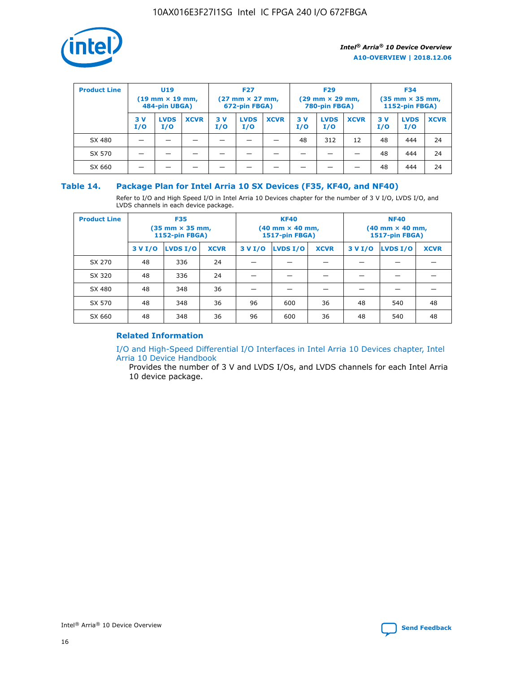

| <b>Product Line</b> | U <sub>19</sub><br>$(19 \text{ mm} \times 19 \text{ mm})$<br>484-pin UBGA) |                    | <b>F27</b><br>$(27 \text{ mm} \times 27 \text{ mm})$<br>672-pin FBGA) |            |                    | <b>F29</b><br>$(29 \text{ mm} \times 29 \text{ mm})$<br>780-pin FBGA) |           |                    | <b>F34</b><br>$(35$ mm $\times$ 35 mm,<br><b>1152-pin FBGA)</b> |           |                    |             |
|---------------------|----------------------------------------------------------------------------|--------------------|-----------------------------------------------------------------------|------------|--------------------|-----------------------------------------------------------------------|-----------|--------------------|-----------------------------------------------------------------|-----------|--------------------|-------------|
|                     | 3V<br>I/O                                                                  | <b>LVDS</b><br>I/O | <b>XCVR</b>                                                           | 3 V<br>I/O | <b>LVDS</b><br>I/O | <b>XCVR</b>                                                           | 3V<br>I/O | <b>LVDS</b><br>I/O | <b>XCVR</b>                                                     | 3V<br>I/O | <b>LVDS</b><br>I/O | <b>XCVR</b> |
| SX 480              |                                                                            |                    |                                                                       |            |                    |                                                                       | 48        | 312                | 12                                                              | 48        | 444                | 24          |
| SX 570              |                                                                            |                    |                                                                       |            |                    |                                                                       |           |                    |                                                                 | 48        | 444                | 24          |
| SX 660              |                                                                            |                    |                                                                       |            |                    |                                                                       |           |                    |                                                                 | 48        | 444                | 24          |

## **Table 14. Package Plan for Intel Arria 10 SX Devices (F35, KF40, and NF40)**

Refer to I/O and High Speed I/O in Intel Arria 10 Devices chapter for the number of 3 V I/O, LVDS I/O, and LVDS channels in each device package.

| <b>Product Line</b> | <b>F35</b><br>$(35 \text{ mm} \times 35 \text{ mm})$<br><b>1152-pin FBGA)</b> |          |             |                                           | <b>KF40</b><br>(40 mm × 40 mm,<br>1517-pin FBGA) |    | <b>NF40</b><br>$(40 \text{ mm} \times 40 \text{ mm})$<br>1517-pin FBGA) |          |             |  |
|---------------------|-------------------------------------------------------------------------------|----------|-------------|-------------------------------------------|--------------------------------------------------|----|-------------------------------------------------------------------------|----------|-------------|--|
|                     | 3 V I/O                                                                       | LVDS I/O | <b>XCVR</b> | <b>LVDS I/O</b><br><b>XCVR</b><br>3 V I/O |                                                  |    | 3 V I/O                                                                 | LVDS I/O | <b>XCVR</b> |  |
| SX 270              | 48                                                                            | 336      | 24          |                                           |                                                  |    |                                                                         |          |             |  |
| SX 320              | 48                                                                            | 336      | 24          |                                           |                                                  |    |                                                                         |          |             |  |
| SX 480              | 48                                                                            | 348      | 36          |                                           |                                                  |    |                                                                         |          |             |  |
| SX 570              | 48                                                                            | 348      | 36          | 96                                        | 600                                              | 36 | 48                                                                      | 540      | 48          |  |
| SX 660              | 48                                                                            | 348      | 36          | 96                                        | 600                                              | 36 | 48                                                                      | 540      | 48          |  |

## **Related Information**

[I/O and High-Speed Differential I/O Interfaces in Intel Arria 10 Devices chapter, Intel](https://www.intel.com/content/www/us/en/programmable/documentation/sam1403482614086.html#sam1403482030321) [Arria 10 Device Handbook](https://www.intel.com/content/www/us/en/programmable/documentation/sam1403482614086.html#sam1403482030321)

Provides the number of 3 V and LVDS I/Os, and LVDS channels for each Intel Arria 10 device package.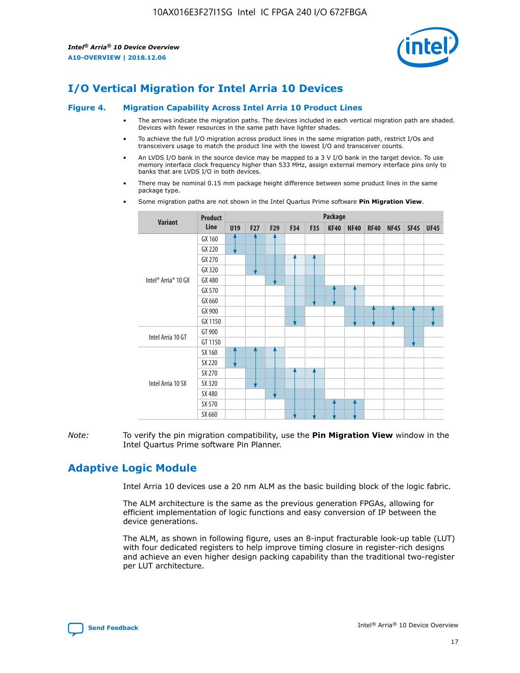

# **I/O Vertical Migration for Intel Arria 10 Devices**

#### **Figure 4. Migration Capability Across Intel Arria 10 Product Lines**

- The arrows indicate the migration paths. The devices included in each vertical migration path are shaded. Devices with fewer resources in the same path have lighter shades.
- To achieve the full I/O migration across product lines in the same migration path, restrict I/Os and transceivers usage to match the product line with the lowest I/O and transceiver counts.
- An LVDS I/O bank in the source device may be mapped to a 3 V I/O bank in the target device. To use memory interface clock frequency higher than 533 MHz, assign external memory interface pins only to banks that are LVDS I/O in both devices.
- There may be nominal 0.15 mm package height difference between some product lines in the same package type.
	- **Variant Product Line Package U19 F27 F29 F34 F35 KF40 NF40 RF40 NF45 SF45 UF45** Intel® Arria® 10 GX GX 160 GX 220 GX 270 GX 320 GX 480 GX 570 GX 660 GX 900 GX 1150 Intel Arria 10 GT GT 900 GT 1150 Intel Arria 10 SX SX 160 SX 220 SX 270 SX 320 SX 480 SX 570 SX 660
- Some migration paths are not shown in the Intel Quartus Prime software **Pin Migration View**.

*Note:* To verify the pin migration compatibility, use the **Pin Migration View** window in the Intel Quartus Prime software Pin Planner.

## **Adaptive Logic Module**

Intel Arria 10 devices use a 20 nm ALM as the basic building block of the logic fabric.

The ALM architecture is the same as the previous generation FPGAs, allowing for efficient implementation of logic functions and easy conversion of IP between the device generations.

The ALM, as shown in following figure, uses an 8-input fracturable look-up table (LUT) with four dedicated registers to help improve timing closure in register-rich designs and achieve an even higher design packing capability than the traditional two-register per LUT architecture.

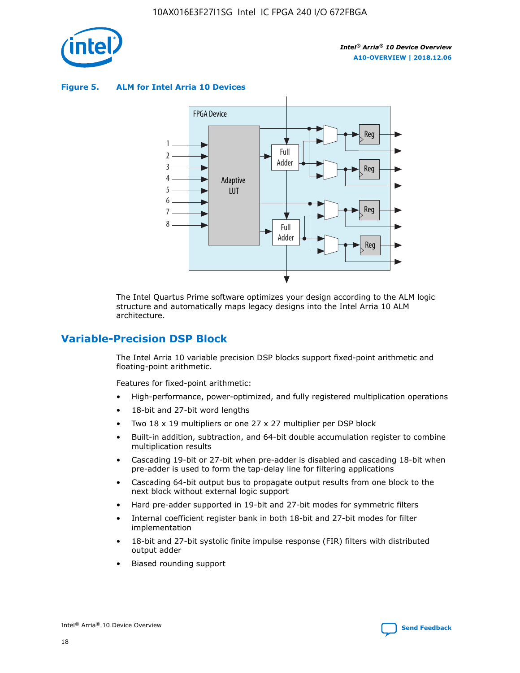

**Figure 5. ALM for Intel Arria 10 Devices**



The Intel Quartus Prime software optimizes your design according to the ALM logic structure and automatically maps legacy designs into the Intel Arria 10 ALM architecture.

## **Variable-Precision DSP Block**

The Intel Arria 10 variable precision DSP blocks support fixed-point arithmetic and floating-point arithmetic.

Features for fixed-point arithmetic:

- High-performance, power-optimized, and fully registered multiplication operations
- 18-bit and 27-bit word lengths
- Two 18 x 19 multipliers or one 27 x 27 multiplier per DSP block
- Built-in addition, subtraction, and 64-bit double accumulation register to combine multiplication results
- Cascading 19-bit or 27-bit when pre-adder is disabled and cascading 18-bit when pre-adder is used to form the tap-delay line for filtering applications
- Cascading 64-bit output bus to propagate output results from one block to the next block without external logic support
- Hard pre-adder supported in 19-bit and 27-bit modes for symmetric filters
- Internal coefficient register bank in both 18-bit and 27-bit modes for filter implementation
- 18-bit and 27-bit systolic finite impulse response (FIR) filters with distributed output adder
- Biased rounding support

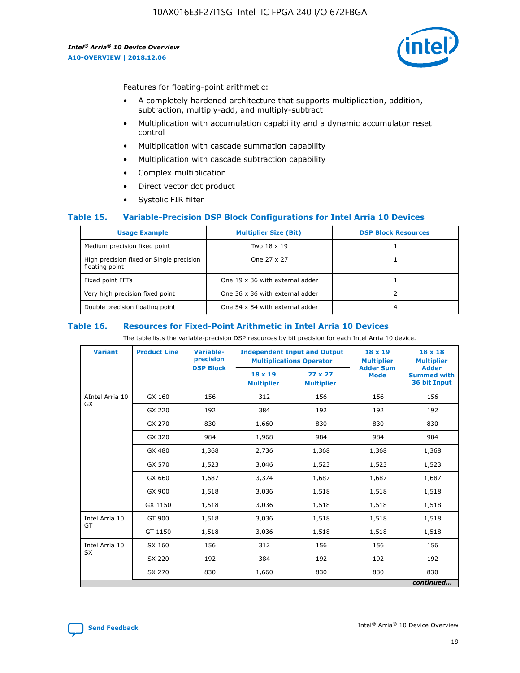

Features for floating-point arithmetic:

- A completely hardened architecture that supports multiplication, addition, subtraction, multiply-add, and multiply-subtract
- Multiplication with accumulation capability and a dynamic accumulator reset control
- Multiplication with cascade summation capability
- Multiplication with cascade subtraction capability
- Complex multiplication
- Direct vector dot product
- Systolic FIR filter

### **Table 15. Variable-Precision DSP Block Configurations for Intel Arria 10 Devices**

| <b>Usage Example</b>                                       | <b>Multiplier Size (Bit)</b>    | <b>DSP Block Resources</b> |
|------------------------------------------------------------|---------------------------------|----------------------------|
| Medium precision fixed point                               | Two 18 x 19                     |                            |
| High precision fixed or Single precision<br>floating point | One 27 x 27                     |                            |
| Fixed point FFTs                                           | One 19 x 36 with external adder |                            |
| Very high precision fixed point                            | One 36 x 36 with external adder |                            |
| Double precision floating point                            | One 54 x 54 with external adder | 4                          |

#### **Table 16. Resources for Fixed-Point Arithmetic in Intel Arria 10 Devices**

The table lists the variable-precision DSP resources by bit precision for each Intel Arria 10 device.

| <b>Variant</b>  | <b>Product Line</b> | <b>Variable-</b><br>precision<br><b>DSP Block</b> | <b>Independent Input and Output</b><br><b>Multiplications Operator</b> |                                     | 18 x 19<br><b>Multiplier</b><br><b>Adder Sum</b> | $18 \times 18$<br><b>Multiplier</b><br><b>Adder</b> |
|-----------------|---------------------|---------------------------------------------------|------------------------------------------------------------------------|-------------------------------------|--------------------------------------------------|-----------------------------------------------------|
|                 |                     |                                                   | 18 x 19<br><b>Multiplier</b>                                           | $27 \times 27$<br><b>Multiplier</b> | <b>Mode</b>                                      | <b>Summed with</b><br>36 bit Input                  |
| AIntel Arria 10 | GX 160              | 156                                               | 312                                                                    | 156                                 | 156                                              | 156                                                 |
| GX              | GX 220              | 192                                               | 384                                                                    | 192                                 | 192                                              | 192                                                 |
|                 | GX 270              | 830                                               | 1,660                                                                  | 830                                 | 830                                              | 830                                                 |
|                 | GX 320              | 984                                               | 1,968                                                                  | 984                                 | 984                                              | 984                                                 |
|                 | GX 480              | 1,368                                             | 2,736                                                                  | 1,368                               | 1,368                                            | 1,368                                               |
|                 | GX 570              | 1,523                                             | 3,046                                                                  | 1,523                               | 1,523                                            | 1,523                                               |
|                 | GX 660              | 1,687                                             | 3,374                                                                  | 1,687                               | 1,687                                            | 1,687                                               |
|                 | GX 900              | 1,518                                             | 3,036                                                                  | 1,518                               | 1,518                                            | 1,518                                               |
|                 | GX 1150             | 1,518                                             | 3,036                                                                  | 1,518                               | 1,518                                            | 1,518                                               |
| Intel Arria 10  | GT 900              | 1,518                                             | 3,036                                                                  | 1,518                               | 1,518                                            | 1,518                                               |
| GT              | GT 1150             | 1,518                                             | 3,036                                                                  | 1,518                               | 1,518                                            | 1,518                                               |
| Intel Arria 10  | SX 160              | 156                                               | 312                                                                    | 156                                 | 156                                              | 156                                                 |
| <b>SX</b>       | SX 220<br>192       |                                                   | 384                                                                    | 192                                 | 192                                              | 192                                                 |
|                 | SX 270              | 830                                               | 1,660                                                                  | 830                                 |                                                  | 830                                                 |
|                 |                     |                                                   |                                                                        |                                     |                                                  | continued                                           |

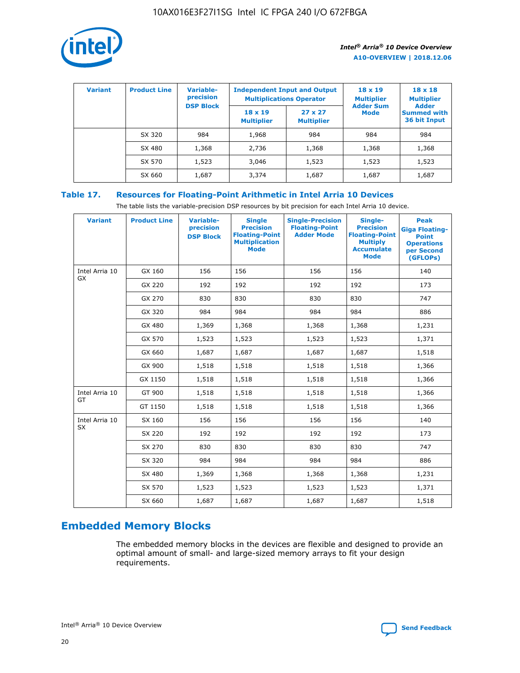

| <b>Variant</b> | <b>Product Line</b> | <b>Variable-</b><br>precision | <b>Independent Input and Output</b><br><b>Multiplications Operator</b> |                                     | $18 \times 19$<br><b>Multiplier</b> | $18 \times 18$<br><b>Multiplier</b><br><b>Adder</b> |  |
|----------------|---------------------|-------------------------------|------------------------------------------------------------------------|-------------------------------------|-------------------------------------|-----------------------------------------------------|--|
|                |                     | <b>DSP Block</b>              | $18 \times 19$<br><b>Multiplier</b>                                    | $27 \times 27$<br><b>Multiplier</b> | <b>Adder Sum</b><br><b>Mode</b>     | <b>Summed with</b><br>36 bit Input                  |  |
|                | SX 320              | 984                           | 1,968                                                                  | 984                                 | 984                                 | 984                                                 |  |
|                | SX 480              | 1,368                         | 2,736                                                                  | 1,368                               | 1,368                               | 1,368                                               |  |
|                | SX 570              | 1,523                         | 3,046                                                                  | 1,523                               | 1,523                               | 1,523                                               |  |
|                | SX 660              | 1,687                         | 3,374                                                                  | 1,687                               | 1,687                               | 1,687                                               |  |

## **Table 17. Resources for Floating-Point Arithmetic in Intel Arria 10 Devices**

The table lists the variable-precision DSP resources by bit precision for each Intel Arria 10 device.

| <b>Variant</b> | <b>Product Line</b> | <b>Variable-</b><br>precision<br><b>DSP Block</b> | <b>Single</b><br><b>Precision</b><br><b>Floating-Point</b><br><b>Multiplication</b><br><b>Mode</b> | <b>Single-Precision</b><br><b>Floating-Point</b><br><b>Adder Mode</b> | Single-<br><b>Precision</b><br><b>Floating-Point</b><br><b>Multiply</b><br><b>Accumulate</b><br><b>Mode</b> | <b>Peak</b><br><b>Giga Floating-</b><br><b>Point</b><br><b>Operations</b><br>per Second<br>(GFLOPs) |
|----------------|---------------------|---------------------------------------------------|----------------------------------------------------------------------------------------------------|-----------------------------------------------------------------------|-------------------------------------------------------------------------------------------------------------|-----------------------------------------------------------------------------------------------------|
| Intel Arria 10 | GX 160              | 156                                               | 156                                                                                                | 156                                                                   | 156                                                                                                         | 140                                                                                                 |
| GX             | GX 220              | 192                                               | 192                                                                                                | 192                                                                   | 192                                                                                                         | 173                                                                                                 |
|                | GX 270              | 830                                               | 830                                                                                                | 830                                                                   | 830                                                                                                         | 747                                                                                                 |
|                | GX 320              | 984                                               | 984                                                                                                | 984                                                                   | 984                                                                                                         | 886                                                                                                 |
|                | GX 480              | 1,369                                             | 1,368                                                                                              | 1,368                                                                 | 1,368                                                                                                       | 1,231                                                                                               |
|                | GX 570              | 1,523                                             | 1,523                                                                                              | 1,523                                                                 | 1,523                                                                                                       | 1,371                                                                                               |
|                | GX 660              | 1,687                                             | 1,687                                                                                              | 1,687                                                                 | 1,687                                                                                                       | 1,518                                                                                               |
|                | GX 900              | 1,518                                             | 1,518                                                                                              | 1,518                                                                 | 1,518                                                                                                       | 1,366                                                                                               |
|                | GX 1150             | 1,518                                             | 1,518                                                                                              | 1,518                                                                 | 1,518                                                                                                       | 1,366                                                                                               |
| Intel Arria 10 | GT 900              | 1,518                                             | 1,518                                                                                              | 1,518                                                                 | 1,518                                                                                                       | 1,366                                                                                               |
| GT             | GT 1150             | 1,518                                             | 1,518                                                                                              | 1,518                                                                 | 1,518                                                                                                       | 1,366                                                                                               |
| Intel Arria 10 | SX 160              | 156                                               | 156                                                                                                | 156                                                                   | 156                                                                                                         | 140                                                                                                 |
| <b>SX</b>      | SX 220              | 192                                               | 192                                                                                                | 192                                                                   | 192                                                                                                         | 173                                                                                                 |
|                | SX 270              | 830                                               | 830                                                                                                | 830                                                                   | 830                                                                                                         | 747                                                                                                 |
|                | SX 320              | 984                                               | 984                                                                                                | 984                                                                   | 984                                                                                                         | 886                                                                                                 |
|                | SX 480              | 1,369                                             | 1,368                                                                                              | 1,368                                                                 | 1,368                                                                                                       | 1,231                                                                                               |
|                | SX 570              | 1,523                                             | 1,523                                                                                              | 1,523                                                                 | 1,523                                                                                                       | 1,371                                                                                               |
|                | SX 660              | 1,687                                             | 1,687                                                                                              | 1,687                                                                 | 1,687                                                                                                       | 1,518                                                                                               |

# **Embedded Memory Blocks**

The embedded memory blocks in the devices are flexible and designed to provide an optimal amount of small- and large-sized memory arrays to fit your design requirements.

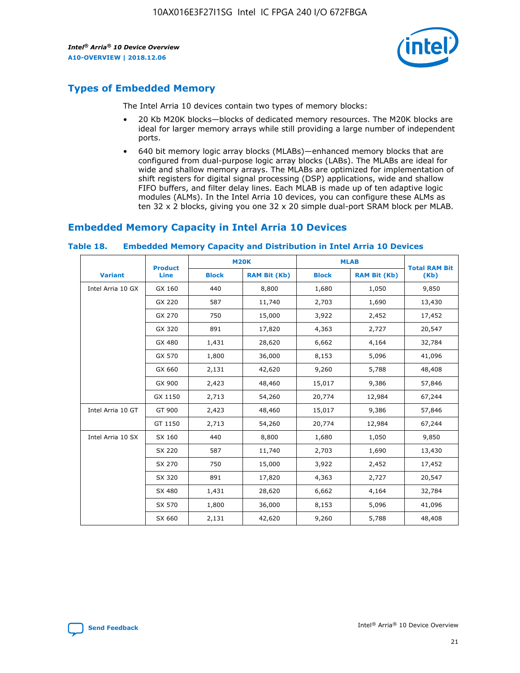

## **Types of Embedded Memory**

The Intel Arria 10 devices contain two types of memory blocks:

- 20 Kb M20K blocks—blocks of dedicated memory resources. The M20K blocks are ideal for larger memory arrays while still providing a large number of independent ports.
- 640 bit memory logic array blocks (MLABs)—enhanced memory blocks that are configured from dual-purpose logic array blocks (LABs). The MLABs are ideal for wide and shallow memory arrays. The MLABs are optimized for implementation of shift registers for digital signal processing (DSP) applications, wide and shallow FIFO buffers, and filter delay lines. Each MLAB is made up of ten adaptive logic modules (ALMs). In the Intel Arria 10 devices, you can configure these ALMs as ten 32 x 2 blocks, giving you one 32 x 20 simple dual-port SRAM block per MLAB.

## **Embedded Memory Capacity in Intel Arria 10 Devices**

|                   | <b>Product</b> |              | <b>M20K</b>         | <b>MLAB</b>  |                     | <b>Total RAM Bit</b> |
|-------------------|----------------|--------------|---------------------|--------------|---------------------|----------------------|
| <b>Variant</b>    | Line           | <b>Block</b> | <b>RAM Bit (Kb)</b> | <b>Block</b> | <b>RAM Bit (Kb)</b> | (Kb)                 |
| Intel Arria 10 GX | GX 160         | 440          | 8,800               | 1,680        | 1,050               | 9,850                |
|                   | GX 220         | 587          | 11,740              | 2,703        | 1,690               | 13,430               |
|                   | GX 270         | 750          | 15,000              | 3,922        | 2,452               | 17,452               |
|                   | GX 320         | 891          | 17,820              | 4,363        | 2,727               | 20,547               |
|                   | GX 480         | 1,431        | 28,620              | 6,662        | 4,164               | 32,784               |
|                   | GX 570         | 1,800        | 36,000              | 8,153        | 5,096               | 41,096               |
|                   | GX 660         | 2,131        | 42,620              | 9,260        | 5,788               | 48,408               |
|                   | GX 900         | 2,423        | 48,460              | 15,017       | 9,386               | 57,846               |
|                   | GX 1150        | 2,713        | 54,260              | 20,774       | 12,984              | 67,244               |
| Intel Arria 10 GT | GT 900         | 2,423        | 48,460              | 15,017       | 9,386               | 57,846               |
|                   | GT 1150        | 2,713        | 54,260              | 20,774       | 12,984              | 67,244               |
| Intel Arria 10 SX | SX 160         | 440          | 8,800               | 1,680        | 1,050               | 9,850                |
|                   | SX 220         | 587          | 11,740              | 2,703        | 1,690               | 13,430               |
|                   | SX 270         | 750          | 15,000              | 3,922        | 2,452               | 17,452               |
|                   | SX 320         | 891          | 17,820              | 4,363        | 2,727               | 20,547               |
|                   | SX 480         | 1,431        | 28,620              | 6,662        | 4,164               | 32,784               |
|                   | SX 570         | 1,800        | 36,000              | 8,153        | 5,096               | 41,096               |
|                   | SX 660         | 2,131        | 42,620              | 9,260        | 5,788               | 48,408               |

#### **Table 18. Embedded Memory Capacity and Distribution in Intel Arria 10 Devices**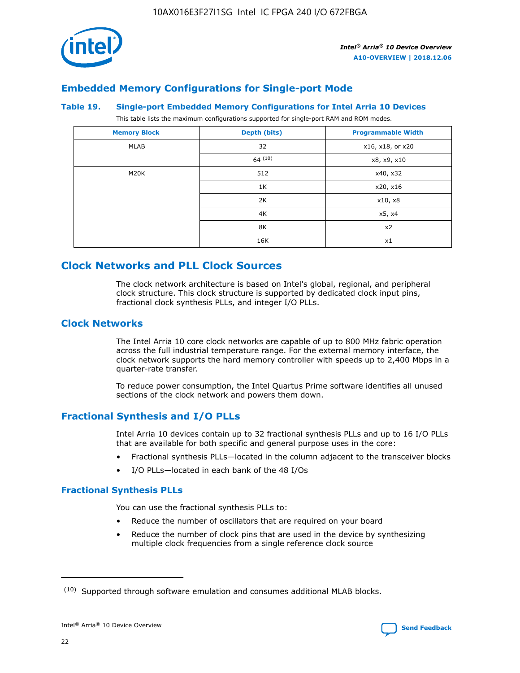

## **Embedded Memory Configurations for Single-port Mode**

#### **Table 19. Single-port Embedded Memory Configurations for Intel Arria 10 Devices**

This table lists the maximum configurations supported for single-port RAM and ROM modes.

| <b>Memory Block</b> | Depth (bits) | <b>Programmable Width</b> |
|---------------------|--------------|---------------------------|
| MLAB                | 32           | x16, x18, or x20          |
|                     | 64(10)       | x8, x9, x10               |
| M20K                | 512          | x40, x32                  |
|                     | 1K           | x20, x16                  |
|                     | 2K           | x10, x8                   |
|                     | 4K           | x5, x4                    |
|                     | 8K           | x2                        |
|                     | 16K          | x1                        |

## **Clock Networks and PLL Clock Sources**

The clock network architecture is based on Intel's global, regional, and peripheral clock structure. This clock structure is supported by dedicated clock input pins, fractional clock synthesis PLLs, and integer I/O PLLs.

## **Clock Networks**

The Intel Arria 10 core clock networks are capable of up to 800 MHz fabric operation across the full industrial temperature range. For the external memory interface, the clock network supports the hard memory controller with speeds up to 2,400 Mbps in a quarter-rate transfer.

To reduce power consumption, the Intel Quartus Prime software identifies all unused sections of the clock network and powers them down.

## **Fractional Synthesis and I/O PLLs**

Intel Arria 10 devices contain up to 32 fractional synthesis PLLs and up to 16 I/O PLLs that are available for both specific and general purpose uses in the core:

- Fractional synthesis PLLs—located in the column adjacent to the transceiver blocks
- I/O PLLs—located in each bank of the 48 I/Os

### **Fractional Synthesis PLLs**

You can use the fractional synthesis PLLs to:

- Reduce the number of oscillators that are required on your board
- Reduce the number of clock pins that are used in the device by synthesizing multiple clock frequencies from a single reference clock source

<sup>(10)</sup> Supported through software emulation and consumes additional MLAB blocks.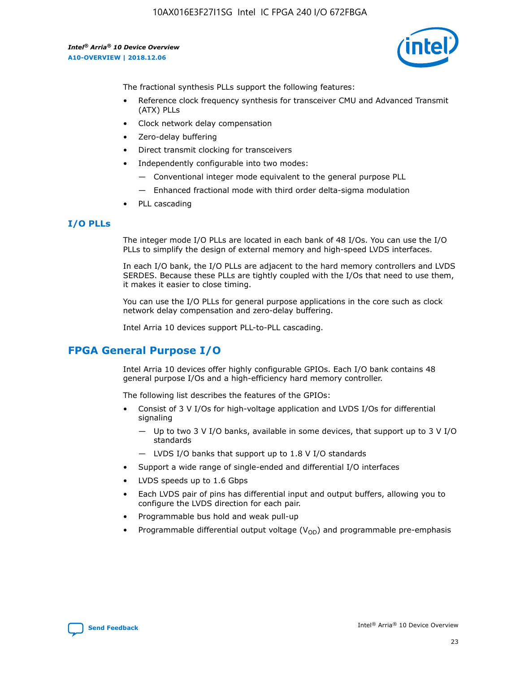

The fractional synthesis PLLs support the following features:

- Reference clock frequency synthesis for transceiver CMU and Advanced Transmit (ATX) PLLs
- Clock network delay compensation
- Zero-delay buffering
- Direct transmit clocking for transceivers
- Independently configurable into two modes:
	- Conventional integer mode equivalent to the general purpose PLL
	- Enhanced fractional mode with third order delta-sigma modulation
- PLL cascading

## **I/O PLLs**

The integer mode I/O PLLs are located in each bank of 48 I/Os. You can use the I/O PLLs to simplify the design of external memory and high-speed LVDS interfaces.

In each I/O bank, the I/O PLLs are adjacent to the hard memory controllers and LVDS SERDES. Because these PLLs are tightly coupled with the I/Os that need to use them, it makes it easier to close timing.

You can use the I/O PLLs for general purpose applications in the core such as clock network delay compensation and zero-delay buffering.

Intel Arria 10 devices support PLL-to-PLL cascading.

## **FPGA General Purpose I/O**

Intel Arria 10 devices offer highly configurable GPIOs. Each I/O bank contains 48 general purpose I/Os and a high-efficiency hard memory controller.

The following list describes the features of the GPIOs:

- Consist of 3 V I/Os for high-voltage application and LVDS I/Os for differential signaling
	- Up to two 3 V I/O banks, available in some devices, that support up to 3 V I/O standards
	- LVDS I/O banks that support up to 1.8 V I/O standards
- Support a wide range of single-ended and differential I/O interfaces
- LVDS speeds up to 1.6 Gbps
- Each LVDS pair of pins has differential input and output buffers, allowing you to configure the LVDS direction for each pair.
- Programmable bus hold and weak pull-up
- Programmable differential output voltage  $(V_{OD})$  and programmable pre-emphasis

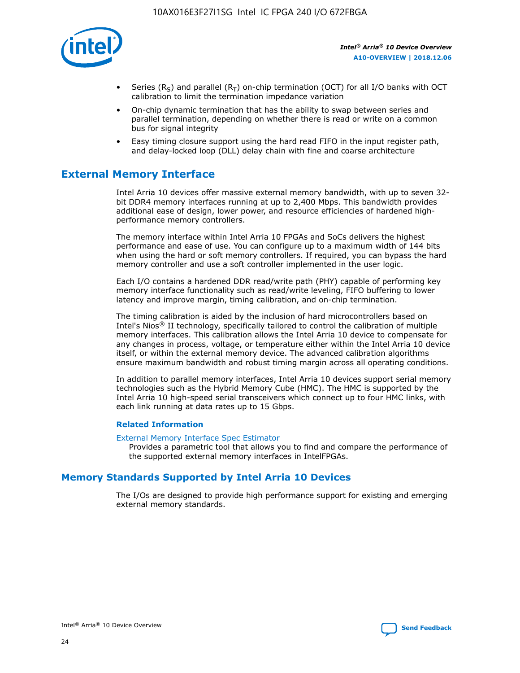

- Series (R<sub>S</sub>) and parallel (R<sub>T</sub>) on-chip termination (OCT) for all I/O banks with OCT calibration to limit the termination impedance variation
- On-chip dynamic termination that has the ability to swap between series and parallel termination, depending on whether there is read or write on a common bus for signal integrity
- Easy timing closure support using the hard read FIFO in the input register path, and delay-locked loop (DLL) delay chain with fine and coarse architecture

## **External Memory Interface**

Intel Arria 10 devices offer massive external memory bandwidth, with up to seven 32 bit DDR4 memory interfaces running at up to 2,400 Mbps. This bandwidth provides additional ease of design, lower power, and resource efficiencies of hardened highperformance memory controllers.

The memory interface within Intel Arria 10 FPGAs and SoCs delivers the highest performance and ease of use. You can configure up to a maximum width of 144 bits when using the hard or soft memory controllers. If required, you can bypass the hard memory controller and use a soft controller implemented in the user logic.

Each I/O contains a hardened DDR read/write path (PHY) capable of performing key memory interface functionality such as read/write leveling, FIFO buffering to lower latency and improve margin, timing calibration, and on-chip termination.

The timing calibration is aided by the inclusion of hard microcontrollers based on Intel's Nios® II technology, specifically tailored to control the calibration of multiple memory interfaces. This calibration allows the Intel Arria 10 device to compensate for any changes in process, voltage, or temperature either within the Intel Arria 10 device itself, or within the external memory device. The advanced calibration algorithms ensure maximum bandwidth and robust timing margin across all operating conditions.

In addition to parallel memory interfaces, Intel Arria 10 devices support serial memory technologies such as the Hybrid Memory Cube (HMC). The HMC is supported by the Intel Arria 10 high-speed serial transceivers which connect up to four HMC links, with each link running at data rates up to 15 Gbps.

### **Related Information**

#### [External Memory Interface Spec Estimator](http://www.altera.com/technology/memory/estimator/mem-emif-index.html)

Provides a parametric tool that allows you to find and compare the performance of the supported external memory interfaces in IntelFPGAs.

## **Memory Standards Supported by Intel Arria 10 Devices**

The I/Os are designed to provide high performance support for existing and emerging external memory standards.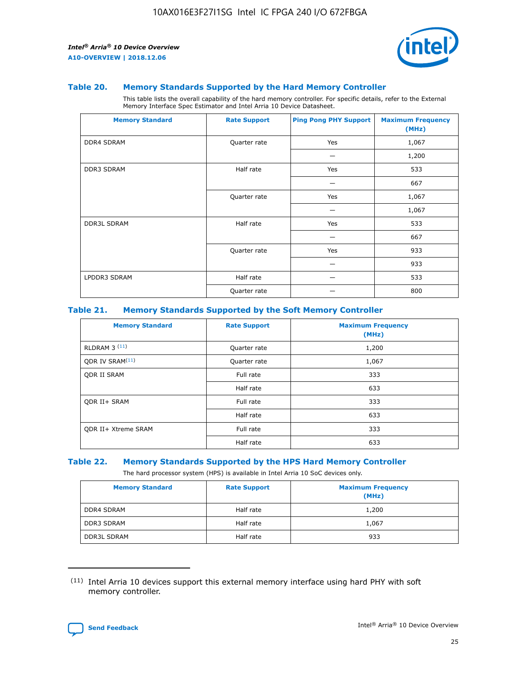

#### **Table 20. Memory Standards Supported by the Hard Memory Controller**

This table lists the overall capability of the hard memory controller. For specific details, refer to the External Memory Interface Spec Estimator and Intel Arria 10 Device Datasheet.

| <b>Memory Standard</b> | <b>Rate Support</b> | <b>Ping Pong PHY Support</b> | <b>Maximum Frequency</b><br>(MHz) |
|------------------------|---------------------|------------------------------|-----------------------------------|
| <b>DDR4 SDRAM</b>      | Quarter rate        | Yes                          | 1,067                             |
|                        |                     |                              | 1,200                             |
| DDR3 SDRAM             | Half rate           | Yes                          | 533                               |
|                        |                     |                              | 667                               |
|                        | Quarter rate        | Yes                          | 1,067                             |
|                        |                     |                              | 1,067                             |
| <b>DDR3L SDRAM</b>     | Half rate           | Yes                          | 533                               |
|                        |                     |                              | 667                               |
|                        | Quarter rate        | Yes                          | 933                               |
|                        |                     |                              | 933                               |
| LPDDR3 SDRAM           | Half rate           |                              | 533                               |
|                        | Quarter rate        |                              | 800                               |

#### **Table 21. Memory Standards Supported by the Soft Memory Controller**

| <b>Memory Standard</b>      | <b>Rate Support</b> | <b>Maximum Frequency</b><br>(MHz) |
|-----------------------------|---------------------|-----------------------------------|
| <b>RLDRAM 3 (11)</b>        | Quarter rate        | 1,200                             |
| ODR IV SRAM <sup>(11)</sup> | Quarter rate        | 1,067                             |
| <b>ODR II SRAM</b>          | Full rate           | 333                               |
|                             | Half rate           | 633                               |
| <b>ODR II+ SRAM</b>         | Full rate           | 333                               |
|                             | Half rate           | 633                               |
| <b>ODR II+ Xtreme SRAM</b>  | Full rate           | 333                               |
|                             | Half rate           | 633                               |

#### **Table 22. Memory Standards Supported by the HPS Hard Memory Controller**

The hard processor system (HPS) is available in Intel Arria 10 SoC devices only.

| <b>Memory Standard</b> | <b>Rate Support</b> | <b>Maximum Frequency</b><br>(MHz) |
|------------------------|---------------------|-----------------------------------|
| <b>DDR4 SDRAM</b>      | Half rate           | 1,200                             |
| <b>DDR3 SDRAM</b>      | Half rate           | 1,067                             |
| <b>DDR3L SDRAM</b>     | Half rate           | 933                               |

<sup>(11)</sup> Intel Arria 10 devices support this external memory interface using hard PHY with soft memory controller.

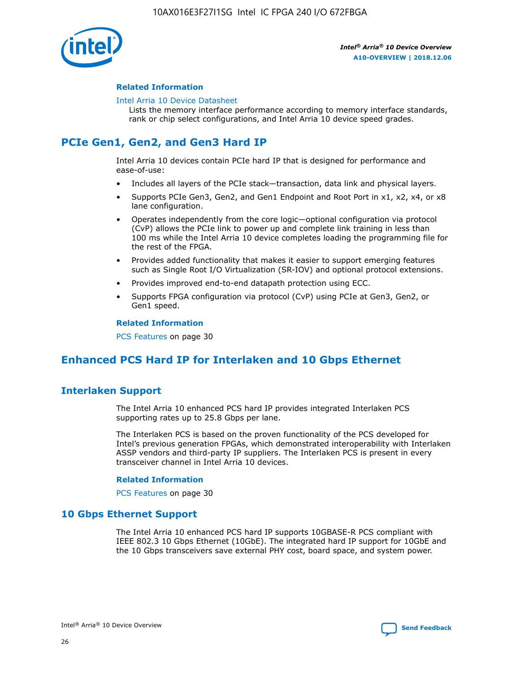

### **Related Information**

#### [Intel Arria 10 Device Datasheet](https://www.intel.com/content/www/us/en/programmable/documentation/mcn1413182292568.html#mcn1413182153340)

Lists the memory interface performance according to memory interface standards, rank or chip select configurations, and Intel Arria 10 device speed grades.

## **PCIe Gen1, Gen2, and Gen3 Hard IP**

Intel Arria 10 devices contain PCIe hard IP that is designed for performance and ease-of-use:

- Includes all layers of the PCIe stack—transaction, data link and physical layers.
- Supports PCIe Gen3, Gen2, and Gen1 Endpoint and Root Port in x1, x2, x4, or x8 lane configuration.
- Operates independently from the core logic—optional configuration via protocol (CvP) allows the PCIe link to power up and complete link training in less than 100 ms while the Intel Arria 10 device completes loading the programming file for the rest of the FPGA.
- Provides added functionality that makes it easier to support emerging features such as Single Root I/O Virtualization (SR-IOV) and optional protocol extensions.
- Provides improved end-to-end datapath protection using ECC.
- Supports FPGA configuration via protocol (CvP) using PCIe at Gen3, Gen2, or Gen1 speed.

#### **Related Information**

PCS Features on page 30

## **Enhanced PCS Hard IP for Interlaken and 10 Gbps Ethernet**

## **Interlaken Support**

The Intel Arria 10 enhanced PCS hard IP provides integrated Interlaken PCS supporting rates up to 25.8 Gbps per lane.

The Interlaken PCS is based on the proven functionality of the PCS developed for Intel's previous generation FPGAs, which demonstrated interoperability with Interlaken ASSP vendors and third-party IP suppliers. The Interlaken PCS is present in every transceiver channel in Intel Arria 10 devices.

### **Related Information**

PCS Features on page 30

## **10 Gbps Ethernet Support**

The Intel Arria 10 enhanced PCS hard IP supports 10GBASE-R PCS compliant with IEEE 802.3 10 Gbps Ethernet (10GbE). The integrated hard IP support for 10GbE and the 10 Gbps transceivers save external PHY cost, board space, and system power.

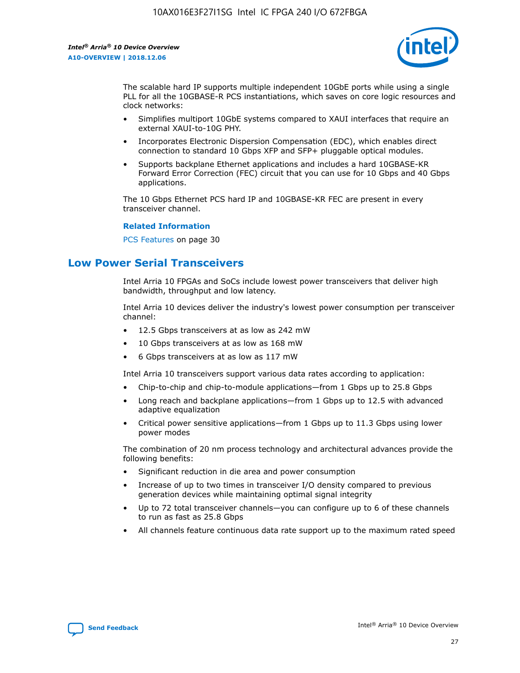

The scalable hard IP supports multiple independent 10GbE ports while using a single PLL for all the 10GBASE-R PCS instantiations, which saves on core logic resources and clock networks:

- Simplifies multiport 10GbE systems compared to XAUI interfaces that require an external XAUI-to-10G PHY.
- Incorporates Electronic Dispersion Compensation (EDC), which enables direct connection to standard 10 Gbps XFP and SFP+ pluggable optical modules.
- Supports backplane Ethernet applications and includes a hard 10GBASE-KR Forward Error Correction (FEC) circuit that you can use for 10 Gbps and 40 Gbps applications.

The 10 Gbps Ethernet PCS hard IP and 10GBASE-KR FEC are present in every transceiver channel.

### **Related Information**

PCS Features on page 30

## **Low Power Serial Transceivers**

Intel Arria 10 FPGAs and SoCs include lowest power transceivers that deliver high bandwidth, throughput and low latency.

Intel Arria 10 devices deliver the industry's lowest power consumption per transceiver channel:

- 12.5 Gbps transceivers at as low as 242 mW
- 10 Gbps transceivers at as low as 168 mW
- 6 Gbps transceivers at as low as 117 mW

Intel Arria 10 transceivers support various data rates according to application:

- Chip-to-chip and chip-to-module applications—from 1 Gbps up to 25.8 Gbps
- Long reach and backplane applications—from 1 Gbps up to 12.5 with advanced adaptive equalization
- Critical power sensitive applications—from 1 Gbps up to 11.3 Gbps using lower power modes

The combination of 20 nm process technology and architectural advances provide the following benefits:

- Significant reduction in die area and power consumption
- Increase of up to two times in transceiver I/O density compared to previous generation devices while maintaining optimal signal integrity
- Up to 72 total transceiver channels—you can configure up to 6 of these channels to run as fast as 25.8 Gbps
- All channels feature continuous data rate support up to the maximum rated speed

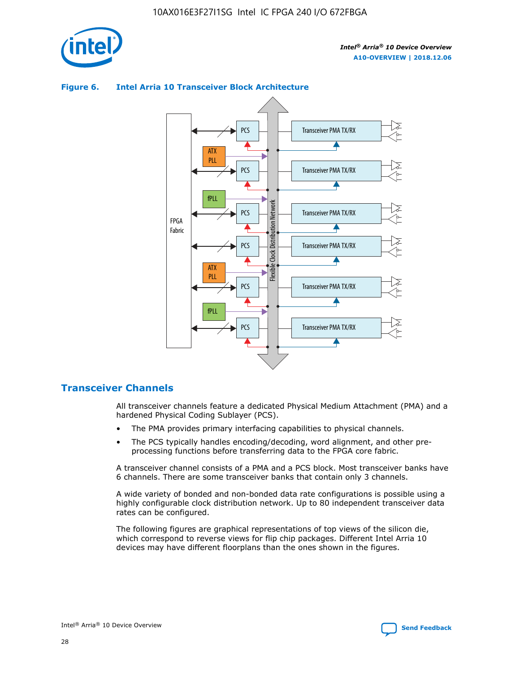

## Transceiver PMA TX/RX PCS ATX PLL Transceiver PMA TX/RX PCS fPLL Network Flexible Clock Distribution Network PCS Transceiver PMA TX/RX FPGA **Clock Distribution** Fabric PCS Transceiver PMA TX/RX ATX Flexible PLL PCS Transceiver PMA TX/RX ▲ fPLL Transceiver PMA TX/RX PCS 4

## **Figure 6. Intel Arria 10 Transceiver Block Architecture**

## **Transceiver Channels**

All transceiver channels feature a dedicated Physical Medium Attachment (PMA) and a hardened Physical Coding Sublayer (PCS).

- The PMA provides primary interfacing capabilities to physical channels.
- The PCS typically handles encoding/decoding, word alignment, and other preprocessing functions before transferring data to the FPGA core fabric.

A transceiver channel consists of a PMA and a PCS block. Most transceiver banks have 6 channels. There are some transceiver banks that contain only 3 channels.

A wide variety of bonded and non-bonded data rate configurations is possible using a highly configurable clock distribution network. Up to 80 independent transceiver data rates can be configured.

The following figures are graphical representations of top views of the silicon die, which correspond to reverse views for flip chip packages. Different Intel Arria 10 devices may have different floorplans than the ones shown in the figures.

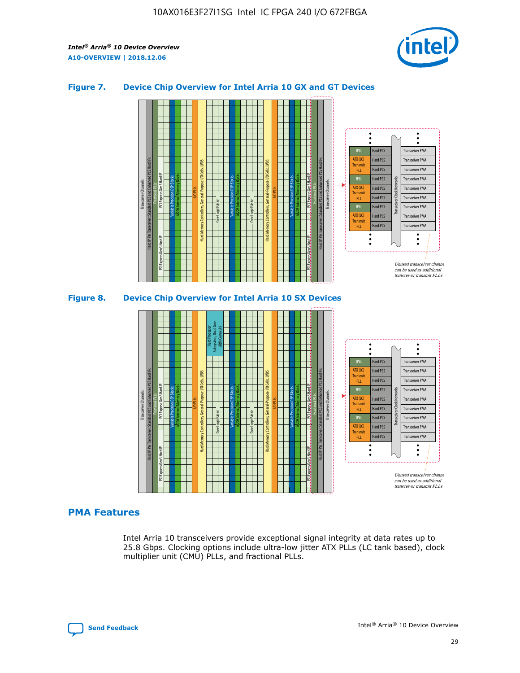

## **Figure 7. Device Chip Overview for Intel Arria 10 GX and GT Devices**



#### M20K Internal Memory Blocks Core Logic Fabric Transceiver Channels Hard IP Per Transceiver: Standard PCS and Enhanced PCS Hard IPs PCI Express Gen3 Hard IP Fractional PLLs M20K Internal Memory Blocks PCI Express Gen3 Hard IP Variable Precision DSP Blocks I/O PLLs Hard Memory Controllers, General-Purpose I/O Cells, LVDS Hard Processor Subsystem, Dual-Core ARM Cortex A9 M20K Internal Memory Blocks Variable Precision DSP Blocks M20K Internal Memory Blocks Core Logic Fabric I/O PLLs Hard Memory Controllers, General-Purpose I/O Cells, LVDS M20K Internal Memory Blocks Variable Precision DSP Blocks M20K Internal Memory Blocks Transceiver Channels Hard IP Per Transceiver: Standard PCS and Enhanced PCS Hard IPs PCI Express Gen3 Hard IP Fractional PLLs PCI Express Gen3 Hard IP Hard PCS Hard PCS Hard PCS Hard PCS Hard PCS Hard PCS Hard PCS Transceiver PMA Transceiver PMA Transceiver PMA Transceiver PMA Transceiver PMA Unused transceiver chann can be used as additional transceiver transmit PLLs Transceiver PMA Transceiver PMA Transceiver Clock Networks ATX (LC) **Transmit** PLL fPLL ATX (LC) Transmi PLL fPLL ATX (LC) **Transmit** PLL

## **PMA Features**

Intel Arria 10 transceivers provide exceptional signal integrity at data rates up to 25.8 Gbps. Clocking options include ultra-low jitter ATX PLLs (LC tank based), clock multiplier unit (CMU) PLLs, and fractional PLLs.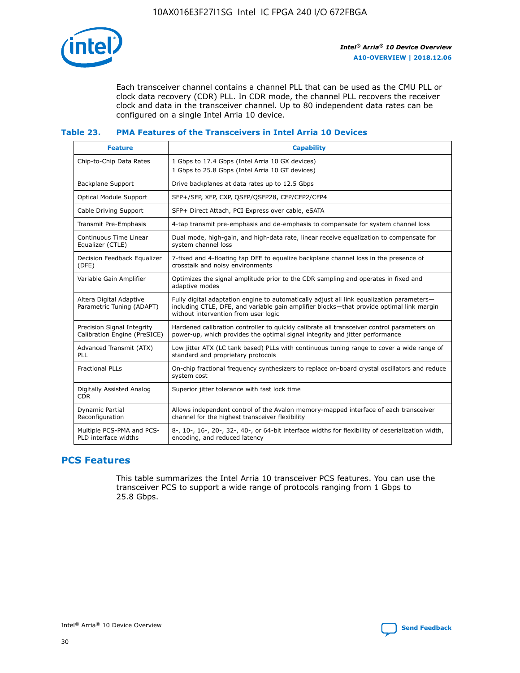

Each transceiver channel contains a channel PLL that can be used as the CMU PLL or clock data recovery (CDR) PLL. In CDR mode, the channel PLL recovers the receiver clock and data in the transceiver channel. Up to 80 independent data rates can be configured on a single Intel Arria 10 device.

## **Table 23. PMA Features of the Transceivers in Intel Arria 10 Devices**

| <b>Feature</b>                                             | <b>Capability</b>                                                                                                                                                                                                             |
|------------------------------------------------------------|-------------------------------------------------------------------------------------------------------------------------------------------------------------------------------------------------------------------------------|
| Chip-to-Chip Data Rates                                    | 1 Gbps to 17.4 Gbps (Intel Arria 10 GX devices)<br>1 Gbps to 25.8 Gbps (Intel Arria 10 GT devices)                                                                                                                            |
| <b>Backplane Support</b>                                   | Drive backplanes at data rates up to 12.5 Gbps                                                                                                                                                                                |
| <b>Optical Module Support</b>                              | SFP+/SFP, XFP, CXP, QSFP/QSFP28, CFP/CFP2/CFP4                                                                                                                                                                                |
| Cable Driving Support                                      | SFP+ Direct Attach, PCI Express over cable, eSATA                                                                                                                                                                             |
| Transmit Pre-Emphasis                                      | 4-tap transmit pre-emphasis and de-emphasis to compensate for system channel loss                                                                                                                                             |
| Continuous Time Linear<br>Equalizer (CTLE)                 | Dual mode, high-gain, and high-data rate, linear receive equalization to compensate for<br>system channel loss                                                                                                                |
| Decision Feedback Equalizer<br>(DFE)                       | 7-fixed and 4-floating tap DFE to equalize backplane channel loss in the presence of<br>crosstalk and noisy environments                                                                                                      |
| Variable Gain Amplifier                                    | Optimizes the signal amplitude prior to the CDR sampling and operates in fixed and<br>adaptive modes                                                                                                                          |
| Altera Digital Adaptive<br>Parametric Tuning (ADAPT)       | Fully digital adaptation engine to automatically adjust all link equalization parameters-<br>including CTLE, DFE, and variable gain amplifier blocks—that provide optimal link margin<br>without intervention from user logic |
| Precision Signal Integrity<br>Calibration Engine (PreSICE) | Hardened calibration controller to quickly calibrate all transceiver control parameters on<br>power-up, which provides the optimal signal integrity and jitter performance                                                    |
| Advanced Transmit (ATX)<br>PLL                             | Low jitter ATX (LC tank based) PLLs with continuous tuning range to cover a wide range of<br>standard and proprietary protocols                                                                                               |
| <b>Fractional PLLs</b>                                     | On-chip fractional frequency synthesizers to replace on-board crystal oscillators and reduce<br>system cost                                                                                                                   |
| Digitally Assisted Analog<br><b>CDR</b>                    | Superior jitter tolerance with fast lock time                                                                                                                                                                                 |
| Dynamic Partial<br>Reconfiguration                         | Allows independent control of the Avalon memory-mapped interface of each transceiver<br>channel for the highest transceiver flexibility                                                                                       |
| Multiple PCS-PMA and PCS-<br>PLD interface widths          | 8-, 10-, 16-, 20-, 32-, 40-, or 64-bit interface widths for flexibility of deserialization width,<br>encoding, and reduced latency                                                                                            |

## **PCS Features**

This table summarizes the Intel Arria 10 transceiver PCS features. You can use the transceiver PCS to support a wide range of protocols ranging from 1 Gbps to 25.8 Gbps.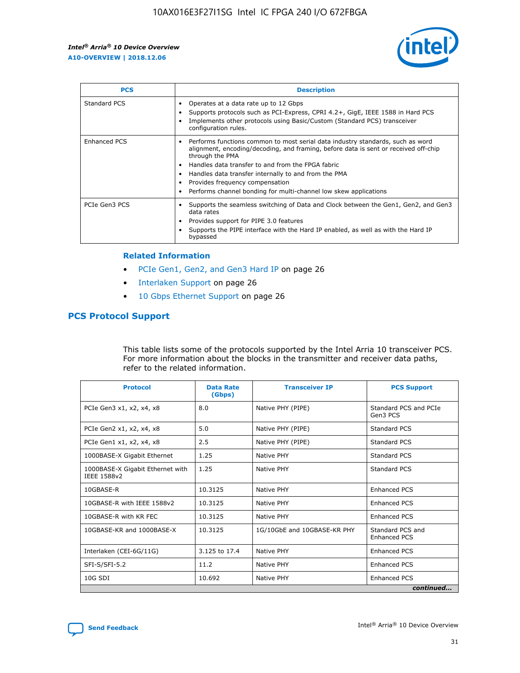

| <b>PCS</b>          | <b>Description</b>                                                                                                                                                                                                                                                                                                                                                                                             |
|---------------------|----------------------------------------------------------------------------------------------------------------------------------------------------------------------------------------------------------------------------------------------------------------------------------------------------------------------------------------------------------------------------------------------------------------|
| Standard PCS        | Operates at a data rate up to 12 Gbps<br>Supports protocols such as PCI-Express, CPRI 4.2+, GigE, IEEE 1588 in Hard PCS<br>Implements other protocols using Basic/Custom (Standard PCS) transceiver<br>configuration rules.                                                                                                                                                                                    |
| <b>Enhanced PCS</b> | Performs functions common to most serial data industry standards, such as word<br>alignment, encoding/decoding, and framing, before data is sent or received off-chip<br>through the PMA<br>• Handles data transfer to and from the FPGA fabric<br>Handles data transfer internally to and from the PMA<br>Provides frequency compensation<br>Performs channel bonding for multi-channel low skew applications |
| PCIe Gen3 PCS       | Supports the seamless switching of Data and Clock between the Gen1, Gen2, and Gen3<br>data rates<br>Provides support for PIPE 3.0 features<br>Supports the PIPE interface with the Hard IP enabled, as well as with the Hard IP<br>bypassed                                                                                                                                                                    |

#### **Related Information**

- PCIe Gen1, Gen2, and Gen3 Hard IP on page 26
- Interlaken Support on page 26
- 10 Gbps Ethernet Support on page 26

## **PCS Protocol Support**

This table lists some of the protocols supported by the Intel Arria 10 transceiver PCS. For more information about the blocks in the transmitter and receiver data paths, refer to the related information.

| <b>Protocol</b>                                 | <b>Data Rate</b><br>(Gbps) | <b>Transceiver IP</b>       | <b>PCS Support</b>                      |
|-------------------------------------------------|----------------------------|-----------------------------|-----------------------------------------|
| PCIe Gen3 x1, x2, x4, x8                        | 8.0                        | Native PHY (PIPE)           | Standard PCS and PCIe<br>Gen3 PCS       |
| PCIe Gen2 x1, x2, x4, x8                        | 5.0                        | Native PHY (PIPE)           | <b>Standard PCS</b>                     |
| PCIe Gen1 x1, x2, x4, x8                        | 2.5                        | Native PHY (PIPE)           | Standard PCS                            |
| 1000BASE-X Gigabit Ethernet                     | 1.25                       | Native PHY                  | <b>Standard PCS</b>                     |
| 1000BASE-X Gigabit Ethernet with<br>IEEE 1588v2 | 1.25                       | Native PHY                  | Standard PCS                            |
| 10GBASE-R                                       | 10.3125                    | Native PHY                  | <b>Enhanced PCS</b>                     |
| 10GBASE-R with IEEE 1588v2                      | 10.3125                    | Native PHY                  | <b>Enhanced PCS</b>                     |
| 10GBASE-R with KR FEC                           | 10.3125                    | Native PHY                  | <b>Enhanced PCS</b>                     |
| 10GBASE-KR and 1000BASE-X                       | 10.3125                    | 1G/10GbE and 10GBASE-KR PHY | Standard PCS and<br><b>Enhanced PCS</b> |
| Interlaken (CEI-6G/11G)                         | 3.125 to 17.4              | Native PHY                  | <b>Enhanced PCS</b>                     |
| SFI-S/SFI-5.2                                   | 11.2                       | Native PHY                  | <b>Enhanced PCS</b>                     |
| $10G$ SDI                                       | 10.692                     | Native PHY                  | <b>Enhanced PCS</b>                     |
|                                                 |                            |                             | continued                               |

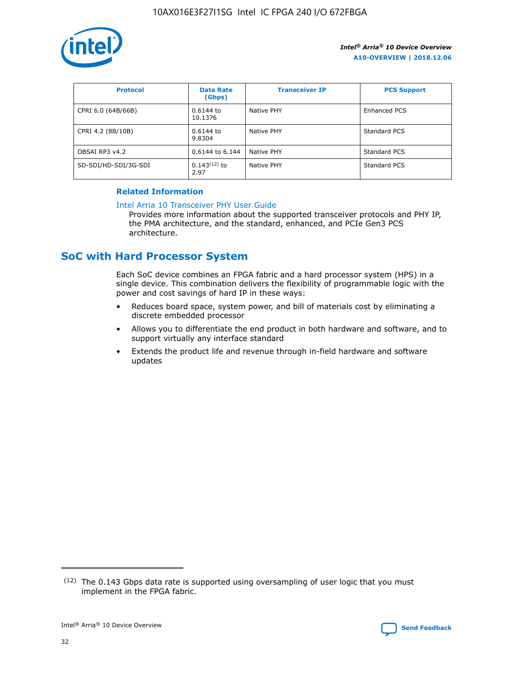

| <b>Protocol</b>      | <b>Data Rate</b><br>(Gbps) | <b>Transceiver IP</b> | <b>PCS Support</b> |
|----------------------|----------------------------|-----------------------|--------------------|
| CPRI 6.0 (64B/66B)   | 0.6144 to<br>10.1376       | Native PHY            | Enhanced PCS       |
| CPRI 4.2 (8B/10B)    | 0.6144 to<br>9.8304        | Native PHY            | Standard PCS       |
| OBSAI RP3 v4.2       | 0.6144 to 6.144            | Native PHY            | Standard PCS       |
| SD-SDI/HD-SDI/3G-SDI | $0.143(12)$ to<br>2.97     | Native PHY            | Standard PCS       |

## **Related Information**

#### [Intel Arria 10 Transceiver PHY User Guide](https://www.intel.com/content/www/us/en/programmable/documentation/nik1398707230472.html#nik1398707091164)

Provides more information about the supported transceiver protocols and PHY IP, the PMA architecture, and the standard, enhanced, and PCIe Gen3 PCS architecture.

## **SoC with Hard Processor System**

Each SoC device combines an FPGA fabric and a hard processor system (HPS) in a single device. This combination delivers the flexibility of programmable logic with the power and cost savings of hard IP in these ways:

- Reduces board space, system power, and bill of materials cost by eliminating a discrete embedded processor
- Allows you to differentiate the end product in both hardware and software, and to support virtually any interface standard
- Extends the product life and revenue through in-field hardware and software updates

<sup>(12)</sup> The 0.143 Gbps data rate is supported using oversampling of user logic that you must implement in the FPGA fabric.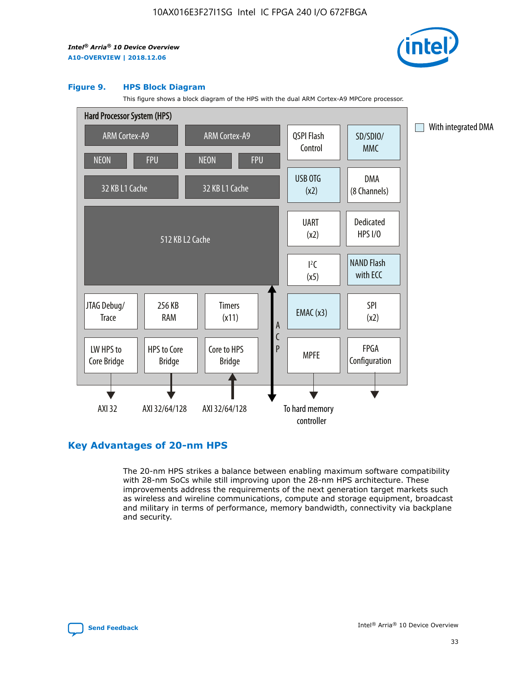

#### **Figure 9. HPS Block Diagram**

This figure shows a block diagram of the HPS with the dual ARM Cortex-A9 MPCore processor.



## **Key Advantages of 20-nm HPS**

The 20-nm HPS strikes a balance between enabling maximum software compatibility with 28-nm SoCs while still improving upon the 28-nm HPS architecture. These improvements address the requirements of the next generation target markets such as wireless and wireline communications, compute and storage equipment, broadcast and military in terms of performance, memory bandwidth, connectivity via backplane and security.

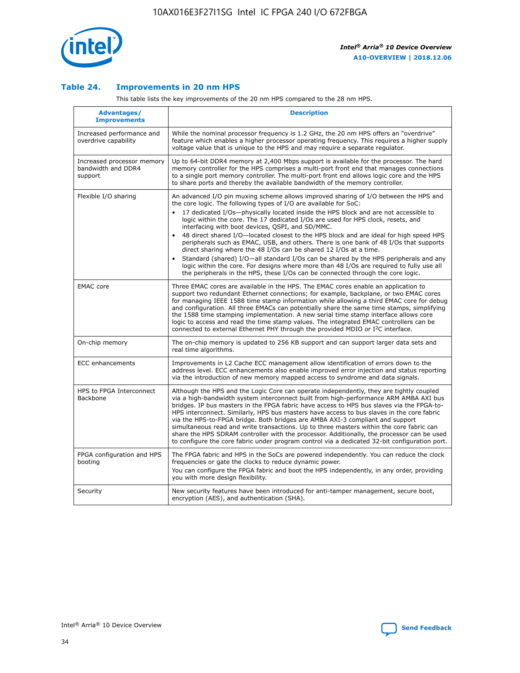

## **Table 24. Improvements in 20 nm HPS**

This table lists the key improvements of the 20 nm HPS compared to the 28 nm HPS.

| Advantages/<br><b>Improvements</b>                          | <b>Description</b>                                                                                                                                                                                                                                                                                                                                                                                                                                                                                                                                                                                                                                                                                                                                                                                                                                                                                                      |
|-------------------------------------------------------------|-------------------------------------------------------------------------------------------------------------------------------------------------------------------------------------------------------------------------------------------------------------------------------------------------------------------------------------------------------------------------------------------------------------------------------------------------------------------------------------------------------------------------------------------------------------------------------------------------------------------------------------------------------------------------------------------------------------------------------------------------------------------------------------------------------------------------------------------------------------------------------------------------------------------------|
| Increased performance and<br>overdrive capability           | While the nominal processor frequency is 1.2 GHz, the 20 nm HPS offers an "overdrive"<br>feature which enables a higher processor operating frequency. This requires a higher supply<br>voltage value that is unique to the HPS and may require a separate regulator.                                                                                                                                                                                                                                                                                                                                                                                                                                                                                                                                                                                                                                                   |
| Increased processor memory<br>bandwidth and DDR4<br>support | Up to 64-bit DDR4 memory at 2,400 Mbps support is available for the processor. The hard<br>memory controller for the HPS comprises a multi-port front end that manages connections<br>to a single port memory controller. The multi-port front end allows logic core and the HPS<br>to share ports and thereby the available bandwidth of the memory controller.                                                                                                                                                                                                                                                                                                                                                                                                                                                                                                                                                        |
| Flexible I/O sharing                                        | An advanced I/O pin muxing scheme allows improved sharing of I/O between the HPS and<br>the core logic. The following types of I/O are available for SoC:<br>17 dedicated I/Os-physically located inside the HPS block and are not accessible to<br>logic within the core. The 17 dedicated I/Os are used for HPS clock, resets, and<br>interfacing with boot devices, QSPI, and SD/MMC.<br>48 direct shared I/O-located closest to the HPS block and are ideal for high speed HPS<br>peripherals such as EMAC, USB, and others. There is one bank of 48 I/Os that supports<br>direct sharing where the 48 I/Os can be shared 12 I/Os at a time.<br>Standard (shared) I/O—all standard I/Os can be shared by the HPS peripherals and any<br>logic within the core. For designs where more than 48 I/Os are required to fully use all<br>the peripherals in the HPS, these I/Os can be connected through the core logic. |
| <b>EMAC</b> core                                            | Three EMAC cores are available in the HPS. The EMAC cores enable an application to<br>support two redundant Ethernet connections; for example, backplane, or two EMAC cores<br>for managing IEEE 1588 time stamp information while allowing a third EMAC core for debug<br>and configuration. All three EMACs can potentially share the same time stamps, simplifying<br>the 1588 time stamping implementation. A new serial time stamp interface allows core<br>logic to access and read the time stamp values. The integrated EMAC controllers can be<br>connected to external Ethernet PHY through the provided MDIO or I <sup>2</sup> C interface.                                                                                                                                                                                                                                                                  |
| On-chip memory                                              | The on-chip memory is updated to 256 KB support and can support larger data sets and<br>real time algorithms.                                                                                                                                                                                                                                                                                                                                                                                                                                                                                                                                                                                                                                                                                                                                                                                                           |
| <b>ECC</b> enhancements                                     | Improvements in L2 Cache ECC management allow identification of errors down to the<br>address level. ECC enhancements also enable improved error injection and status reporting<br>via the introduction of new memory mapped access to syndrome and data signals.                                                                                                                                                                                                                                                                                                                                                                                                                                                                                                                                                                                                                                                       |
| HPS to FPGA Interconnect<br><b>Backbone</b>                 | Although the HPS and the Logic Core can operate independently, they are tightly coupled<br>via a high-bandwidth system interconnect built from high-performance ARM AMBA AXI bus<br>bridges. IP bus masters in the FPGA fabric have access to HPS bus slaves via the FPGA-to-<br>HPS interconnect. Similarly, HPS bus masters have access to bus slaves in the core fabric<br>via the HPS-to-FPGA bridge. Both bridges are AMBA AXI-3 compliant and support<br>simultaneous read and write transactions. Up to three masters within the core fabric can<br>share the HPS SDRAM controller with the processor. Additionally, the processor can be used<br>to configure the core fabric under program control via a dedicated 32-bit configuration port.                                                                                                                                                                  |
| FPGA configuration and HPS<br>booting                       | The FPGA fabric and HPS in the SoCs are powered independently. You can reduce the clock<br>frequencies or gate the clocks to reduce dynamic power.<br>You can configure the FPGA fabric and boot the HPS independently, in any order, providing<br>you with more design flexibility.                                                                                                                                                                                                                                                                                                                                                                                                                                                                                                                                                                                                                                    |
| Security                                                    | New security features have been introduced for anti-tamper management, secure boot,<br>encryption (AES), and authentication (SHA).                                                                                                                                                                                                                                                                                                                                                                                                                                                                                                                                                                                                                                                                                                                                                                                      |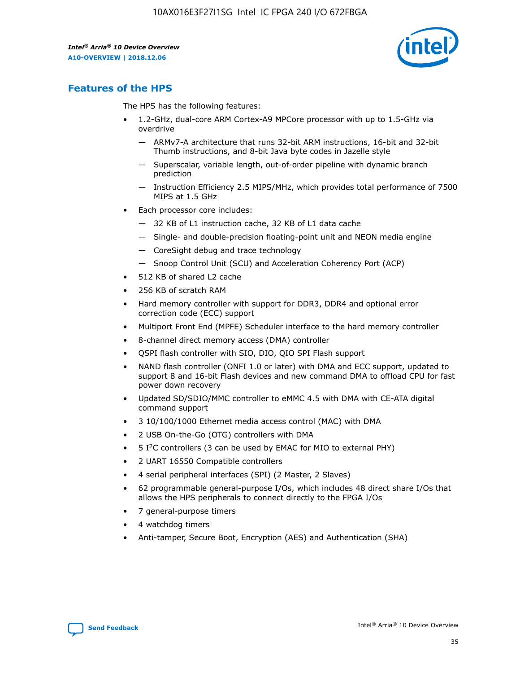

## **Features of the HPS**

The HPS has the following features:

- 1.2-GHz, dual-core ARM Cortex-A9 MPCore processor with up to 1.5-GHz via overdrive
	- ARMv7-A architecture that runs 32-bit ARM instructions, 16-bit and 32-bit Thumb instructions, and 8-bit Java byte codes in Jazelle style
	- Superscalar, variable length, out-of-order pipeline with dynamic branch prediction
	- Instruction Efficiency 2.5 MIPS/MHz, which provides total performance of 7500 MIPS at 1.5 GHz
- Each processor core includes:
	- 32 KB of L1 instruction cache, 32 KB of L1 data cache
	- Single- and double-precision floating-point unit and NEON media engine
	- CoreSight debug and trace technology
	- Snoop Control Unit (SCU) and Acceleration Coherency Port (ACP)
- 512 KB of shared L2 cache
- 256 KB of scratch RAM
- Hard memory controller with support for DDR3, DDR4 and optional error correction code (ECC) support
- Multiport Front End (MPFE) Scheduler interface to the hard memory controller
- 8-channel direct memory access (DMA) controller
- QSPI flash controller with SIO, DIO, QIO SPI Flash support
- NAND flash controller (ONFI 1.0 or later) with DMA and ECC support, updated to support 8 and 16-bit Flash devices and new command DMA to offload CPU for fast power down recovery
- Updated SD/SDIO/MMC controller to eMMC 4.5 with DMA with CE-ATA digital command support
- 3 10/100/1000 Ethernet media access control (MAC) with DMA
- 2 USB On-the-Go (OTG) controllers with DMA
- $\bullet$  5 I<sup>2</sup>C controllers (3 can be used by EMAC for MIO to external PHY)
- 2 UART 16550 Compatible controllers
- 4 serial peripheral interfaces (SPI) (2 Master, 2 Slaves)
- 62 programmable general-purpose I/Os, which includes 48 direct share I/Os that allows the HPS peripherals to connect directly to the FPGA I/Os
- 7 general-purpose timers
- 4 watchdog timers
- Anti-tamper, Secure Boot, Encryption (AES) and Authentication (SHA)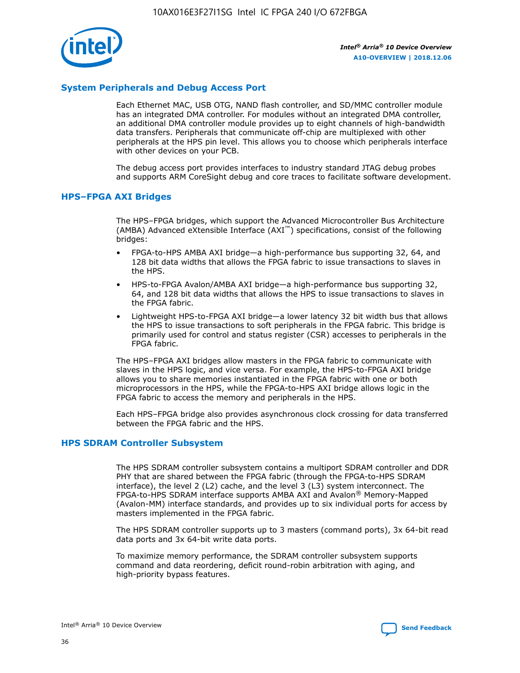

## **System Peripherals and Debug Access Port**

Each Ethernet MAC, USB OTG, NAND flash controller, and SD/MMC controller module has an integrated DMA controller. For modules without an integrated DMA controller, an additional DMA controller module provides up to eight channels of high-bandwidth data transfers. Peripherals that communicate off-chip are multiplexed with other peripherals at the HPS pin level. This allows you to choose which peripherals interface with other devices on your PCB.

The debug access port provides interfaces to industry standard JTAG debug probes and supports ARM CoreSight debug and core traces to facilitate software development.

#### **HPS–FPGA AXI Bridges**

The HPS–FPGA bridges, which support the Advanced Microcontroller Bus Architecture (AMBA) Advanced eXtensible Interface (AXI™) specifications, consist of the following bridges:

- FPGA-to-HPS AMBA AXI bridge—a high-performance bus supporting 32, 64, and 128 bit data widths that allows the FPGA fabric to issue transactions to slaves in the HPS.
- HPS-to-FPGA Avalon/AMBA AXI bridge—a high-performance bus supporting 32, 64, and 128 bit data widths that allows the HPS to issue transactions to slaves in the FPGA fabric.
- Lightweight HPS-to-FPGA AXI bridge—a lower latency 32 bit width bus that allows the HPS to issue transactions to soft peripherals in the FPGA fabric. This bridge is primarily used for control and status register (CSR) accesses to peripherals in the FPGA fabric.

The HPS–FPGA AXI bridges allow masters in the FPGA fabric to communicate with slaves in the HPS logic, and vice versa. For example, the HPS-to-FPGA AXI bridge allows you to share memories instantiated in the FPGA fabric with one or both microprocessors in the HPS, while the FPGA-to-HPS AXI bridge allows logic in the FPGA fabric to access the memory and peripherals in the HPS.

Each HPS–FPGA bridge also provides asynchronous clock crossing for data transferred between the FPGA fabric and the HPS.

#### **HPS SDRAM Controller Subsystem**

The HPS SDRAM controller subsystem contains a multiport SDRAM controller and DDR PHY that are shared between the FPGA fabric (through the FPGA-to-HPS SDRAM interface), the level 2 (L2) cache, and the level 3 (L3) system interconnect. The FPGA-to-HPS SDRAM interface supports AMBA AXI and Avalon® Memory-Mapped (Avalon-MM) interface standards, and provides up to six individual ports for access by masters implemented in the FPGA fabric.

The HPS SDRAM controller supports up to 3 masters (command ports), 3x 64-bit read data ports and 3x 64-bit write data ports.

To maximize memory performance, the SDRAM controller subsystem supports command and data reordering, deficit round-robin arbitration with aging, and high-priority bypass features.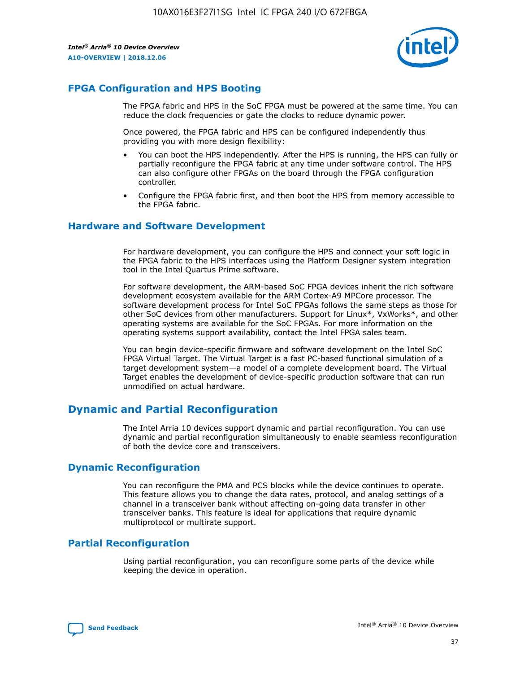

## **FPGA Configuration and HPS Booting**

The FPGA fabric and HPS in the SoC FPGA must be powered at the same time. You can reduce the clock frequencies or gate the clocks to reduce dynamic power.

Once powered, the FPGA fabric and HPS can be configured independently thus providing you with more design flexibility:

- You can boot the HPS independently. After the HPS is running, the HPS can fully or partially reconfigure the FPGA fabric at any time under software control. The HPS can also configure other FPGAs on the board through the FPGA configuration controller.
- Configure the FPGA fabric first, and then boot the HPS from memory accessible to the FPGA fabric.

## **Hardware and Software Development**

For hardware development, you can configure the HPS and connect your soft logic in the FPGA fabric to the HPS interfaces using the Platform Designer system integration tool in the Intel Quartus Prime software.

For software development, the ARM-based SoC FPGA devices inherit the rich software development ecosystem available for the ARM Cortex-A9 MPCore processor. The software development process for Intel SoC FPGAs follows the same steps as those for other SoC devices from other manufacturers. Support for Linux\*, VxWorks\*, and other operating systems are available for the SoC FPGAs. For more information on the operating systems support availability, contact the Intel FPGA sales team.

You can begin device-specific firmware and software development on the Intel SoC FPGA Virtual Target. The Virtual Target is a fast PC-based functional simulation of a target development system—a model of a complete development board. The Virtual Target enables the development of device-specific production software that can run unmodified on actual hardware.

## **Dynamic and Partial Reconfiguration**

The Intel Arria 10 devices support dynamic and partial reconfiguration. You can use dynamic and partial reconfiguration simultaneously to enable seamless reconfiguration of both the device core and transceivers.

## **Dynamic Reconfiguration**

You can reconfigure the PMA and PCS blocks while the device continues to operate. This feature allows you to change the data rates, protocol, and analog settings of a channel in a transceiver bank without affecting on-going data transfer in other transceiver banks. This feature is ideal for applications that require dynamic multiprotocol or multirate support.

## **Partial Reconfiguration**

Using partial reconfiguration, you can reconfigure some parts of the device while keeping the device in operation.

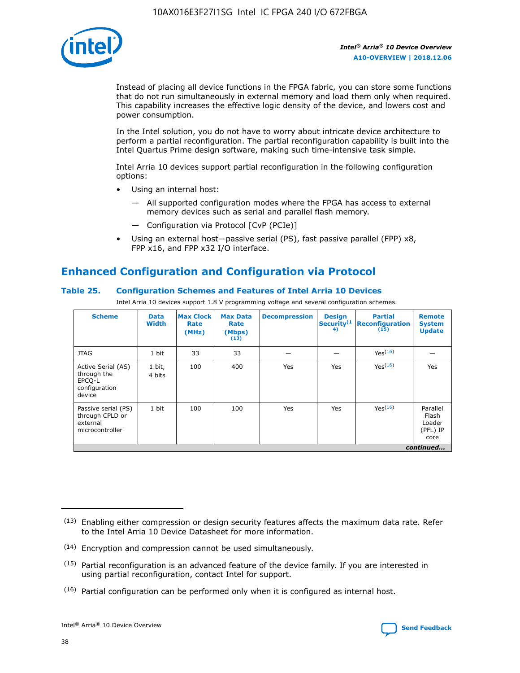

Instead of placing all device functions in the FPGA fabric, you can store some functions that do not run simultaneously in external memory and load them only when required. This capability increases the effective logic density of the device, and lowers cost and power consumption.

In the Intel solution, you do not have to worry about intricate device architecture to perform a partial reconfiguration. The partial reconfiguration capability is built into the Intel Quartus Prime design software, making such time-intensive task simple.

Intel Arria 10 devices support partial reconfiguration in the following configuration options:

- Using an internal host:
	- All supported configuration modes where the FPGA has access to external memory devices such as serial and parallel flash memory.
	- Configuration via Protocol [CvP (PCIe)]
- Using an external host—passive serial (PS), fast passive parallel (FPP) x8, FPP x16, and FPP x32 I/O interface.

# **Enhanced Configuration and Configuration via Protocol**

## **Table 25. Configuration Schemes and Features of Intel Arria 10 Devices**

Intel Arria 10 devices support 1.8 V programming voltage and several configuration schemes.

| <b>Scheme</b>                                                          | <b>Data</b><br><b>Width</b> | <b>Max Clock</b><br>Rate<br>(MHz) | <b>Max Data</b><br>Rate<br>(Mbps)<br>(13) | <b>Decompression</b> | <b>Design</b><br>Security <sup>(1</sup><br>4) | <b>Partial</b><br><b>Reconfiguration</b><br>(15) | <b>Remote</b><br><b>System</b><br><b>Update</b> |
|------------------------------------------------------------------------|-----------------------------|-----------------------------------|-------------------------------------------|----------------------|-----------------------------------------------|--------------------------------------------------|-------------------------------------------------|
| <b>JTAG</b>                                                            | 1 bit                       | 33                                | 33                                        |                      |                                               | Yes(16)                                          |                                                 |
| Active Serial (AS)<br>through the<br>EPCO-L<br>configuration<br>device | 1 bit,<br>4 bits            | 100                               | 400                                       | Yes                  | Yes                                           | Yes(16)                                          | Yes                                             |
| Passive serial (PS)<br>through CPLD or<br>external<br>microcontroller  | 1 bit                       | 100                               | 100                                       | Yes                  | Yes                                           | Yes <sup>(16)</sup>                              | Parallel<br>Flash<br>Loader<br>(PFL) IP<br>core |
|                                                                        |                             |                                   |                                           |                      |                                               |                                                  | continued                                       |

<sup>(13)</sup> Enabling either compression or design security features affects the maximum data rate. Refer to the Intel Arria 10 Device Datasheet for more information.

<sup>(14)</sup> Encryption and compression cannot be used simultaneously.

 $(15)$  Partial reconfiguration is an advanced feature of the device family. If you are interested in using partial reconfiguration, contact Intel for support.

 $(16)$  Partial configuration can be performed only when it is configured as internal host.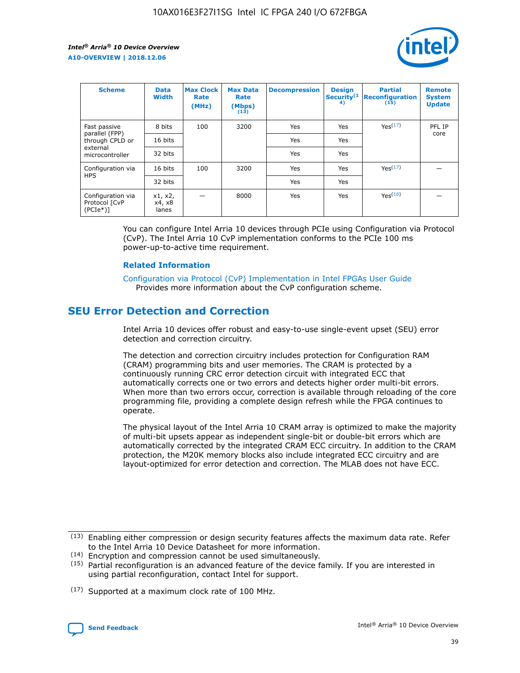

| <b>Scheme</b>                                   | <b>Data</b><br><b>Width</b> | <b>Max Clock</b><br>Rate<br>(MHz) | <b>Max Data</b><br>Rate<br>(Mbps)<br>(13) | <b>Decompression</b> | <b>Design</b><br>Security <sup>(1</sup><br>4) | <b>Partial</b><br><b>Reconfiguration</b><br>(15) | <b>Remote</b><br><b>System</b><br><b>Update</b> |
|-------------------------------------------------|-----------------------------|-----------------------------------|-------------------------------------------|----------------------|-----------------------------------------------|--------------------------------------------------|-------------------------------------------------|
| Fast passive                                    | 8 bits                      | 100                               | 3200                                      | Yes                  | Yes                                           | Yes(17)                                          | PFL IP                                          |
| parallel (FPP)<br>through CPLD or               | 16 bits                     |                                   |                                           | Yes                  | Yes                                           |                                                  | core                                            |
| external<br>microcontroller                     | 32 bits                     |                                   |                                           | Yes                  | Yes                                           |                                                  |                                                 |
| Configuration via                               | 16 bits                     | 100                               | 3200                                      | Yes                  | Yes                                           | Yes <sup>(17)</sup>                              |                                                 |
| <b>HPS</b>                                      | 32 bits                     |                                   |                                           | Yes                  | Yes                                           |                                                  |                                                 |
| Configuration via<br>Protocol [CvP<br>$(PCIe*)$ | x1, x2,<br>x4, x8<br>lanes  |                                   | 8000                                      | Yes                  | Yes                                           | Yes <sup>(16)</sup>                              |                                                 |

You can configure Intel Arria 10 devices through PCIe using Configuration via Protocol (CvP). The Intel Arria 10 CvP implementation conforms to the PCIe 100 ms power-up-to-active time requirement.

#### **Related Information**

[Configuration via Protocol \(CvP\) Implementation in Intel FPGAs User Guide](https://www.intel.com/content/www/us/en/programmable/documentation/dsu1441819344145.html#dsu1442269728522) Provides more information about the CvP configuration scheme.

## **SEU Error Detection and Correction**

Intel Arria 10 devices offer robust and easy-to-use single-event upset (SEU) error detection and correction circuitry.

The detection and correction circuitry includes protection for Configuration RAM (CRAM) programming bits and user memories. The CRAM is protected by a continuously running CRC error detection circuit with integrated ECC that automatically corrects one or two errors and detects higher order multi-bit errors. When more than two errors occur, correction is available through reloading of the core programming file, providing a complete design refresh while the FPGA continues to operate.

The physical layout of the Intel Arria 10 CRAM array is optimized to make the majority of multi-bit upsets appear as independent single-bit or double-bit errors which are automatically corrected by the integrated CRAM ECC circuitry. In addition to the CRAM protection, the M20K memory blocks also include integrated ECC circuitry and are layout-optimized for error detection and correction. The MLAB does not have ECC.

(14) Encryption and compression cannot be used simultaneously.

<sup>(17)</sup> Supported at a maximum clock rate of 100 MHz.



 $(13)$  Enabling either compression or design security features affects the maximum data rate. Refer to the Intel Arria 10 Device Datasheet for more information.

 $(15)$  Partial reconfiguration is an advanced feature of the device family. If you are interested in using partial reconfiguration, contact Intel for support.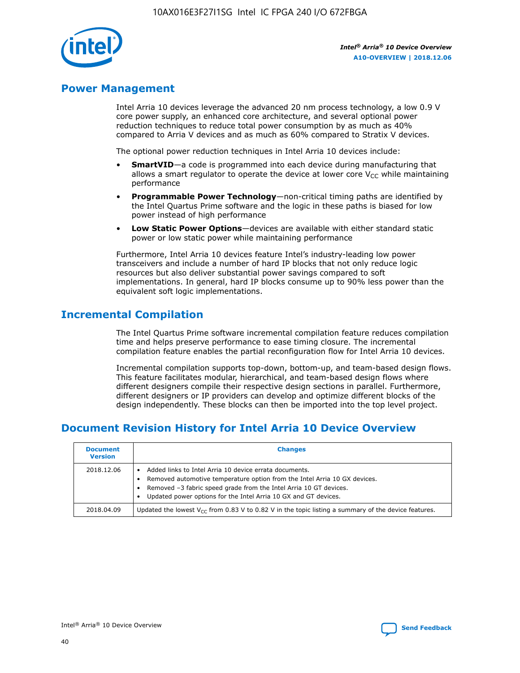

## **Power Management**

Intel Arria 10 devices leverage the advanced 20 nm process technology, a low 0.9 V core power supply, an enhanced core architecture, and several optional power reduction techniques to reduce total power consumption by as much as 40% compared to Arria V devices and as much as 60% compared to Stratix V devices.

The optional power reduction techniques in Intel Arria 10 devices include:

- **SmartVID**—a code is programmed into each device during manufacturing that allows a smart regulator to operate the device at lower core  $V_{CC}$  while maintaining performance
- **Programmable Power Technology**—non-critical timing paths are identified by the Intel Quartus Prime software and the logic in these paths is biased for low power instead of high performance
- **Low Static Power Options**—devices are available with either standard static power or low static power while maintaining performance

Furthermore, Intel Arria 10 devices feature Intel's industry-leading low power transceivers and include a number of hard IP blocks that not only reduce logic resources but also deliver substantial power savings compared to soft implementations. In general, hard IP blocks consume up to 90% less power than the equivalent soft logic implementations.

## **Incremental Compilation**

The Intel Quartus Prime software incremental compilation feature reduces compilation time and helps preserve performance to ease timing closure. The incremental compilation feature enables the partial reconfiguration flow for Intel Arria 10 devices.

Incremental compilation supports top-down, bottom-up, and team-based design flows. This feature facilitates modular, hierarchical, and team-based design flows where different designers compile their respective design sections in parallel. Furthermore, different designers or IP providers can develop and optimize different blocks of the design independently. These blocks can then be imported into the top level project.

## **Document Revision History for Intel Arria 10 Device Overview**

| <b>Document</b><br><b>Version</b> | <b>Changes</b>                                                                                                                                                                                                                                                              |
|-----------------------------------|-----------------------------------------------------------------------------------------------------------------------------------------------------------------------------------------------------------------------------------------------------------------------------|
| 2018.12.06                        | Added links to Intel Arria 10 device errata documents.<br>Removed automotive temperature option from the Intel Arria 10 GX devices.<br>Removed -3 fabric speed grade from the Intel Arria 10 GT devices.<br>Updated power options for the Intel Arria 10 GX and GT devices. |
| 2018.04.09                        | Updated the lowest $V_{CC}$ from 0.83 V to 0.82 V in the topic listing a summary of the device features.                                                                                                                                                                    |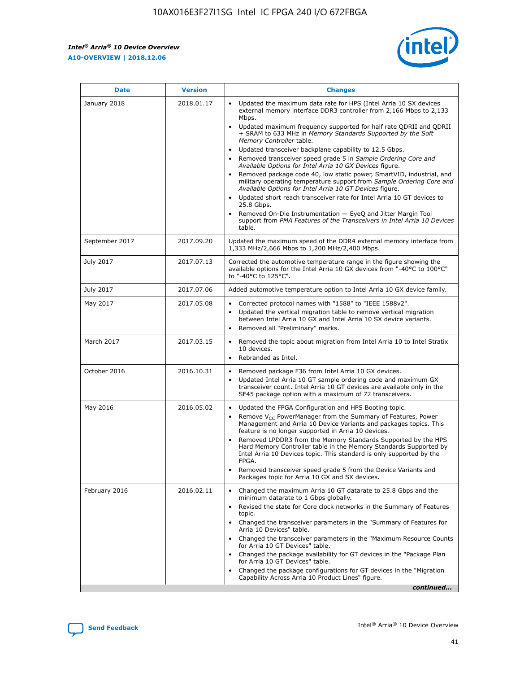F

 $\mathsf{r}$ 



| January 2018<br>Updated the maximum data rate for HPS (Intel Arria 10 SX devices<br>2018.01.17<br>external memory interface DDR3 controller from 2,166 Mbps to 2,133<br>Mbps.<br>$\bullet$<br>+ SRAM to 633 MHz in Memory Standards Supported by the Soft<br>Memory Controller table.<br>Updated transceiver backplane capability to 12.5 Gbps.<br>$\bullet$<br>Removed transceiver speed grade 5 in Sample Ordering Core and<br>Available Options for Intel Arria 10 GX Devices figure.<br>Available Options for Intel Arria 10 GT Devices figure.<br>Updated short reach transceiver rate for Intel Arria 10 GT devices to<br>$\bullet$<br>25.8 Gbps.<br>Removed On-Die Instrumentation - EyeQ and Jitter Margin Tool<br>table.<br>2017.09.20<br>September 2017<br>1,333 MHz/2,666 Mbps to 1,200 MHz/2,400 Mbps.<br>July 2017<br>2017.07.13<br>Corrected the automotive temperature range in the figure showing the<br>available options for the Intel Arria 10 GX devices from "-40°C to 100°C"<br>to "-40°C to 125°C".<br>July 2017<br>2017.07.06<br>Added automotive temperature option to Intel Arria 10 GX device family.<br>2017.05.08<br>Corrected protocol names with "1588" to "IEEE 1588v2".<br>May 2017<br>$\bullet$<br>Updated the vertical migration table to remove vertical migration<br>$\bullet$<br>between Intel Arria 10 GX and Intel Arria 10 SX device variants.<br>Removed all "Preliminary" marks.<br>2017.03.15<br>March 2017<br>Removed the topic about migration from Intel Arria 10 to Intel Stratix<br>10 devices.<br>Rebranded as Intel.<br>$\bullet$<br>October 2016<br>2016.10.31<br>Removed package F36 from Intel Arria 10 GX devices.<br>$\bullet$<br>Updated Intel Arria 10 GT sample ordering code and maximum GX<br>$\bullet$<br>transceiver count. Intel Arria 10 GT devices are available only in the<br>SF45 package option with a maximum of 72 transceivers.<br>May 2016<br>2016.05.02<br>Updated the FPGA Configuration and HPS Booting topic.<br>Remove $V_{CC}$ PowerManager from the Summary of Features, Power<br>Management and Arria 10 Device Variants and packages topics. This<br>feature is no longer supported in Arria 10 devices.<br>Removed LPDDR3 from the Memory Standards Supported by the HPS<br>Hard Memory Controller table in the Memory Standards Supported by<br>Intel Arria 10 Devices topic. This standard is only supported by the<br>FPGA.<br>Removed transceiver speed grade 5 from the Device Variants and<br>Packages topic for Arria 10 GX and SX devices.<br>Changed the maximum Arria 10 GT datarate to 25.8 Gbps and the<br>February 2016<br>2016.02.11<br>minimum datarate to 1 Gbps globally.<br>Revised the state for Core clock networks in the Summary of Features<br>$\bullet$<br>topic.<br>• Changed the transceiver parameters in the "Summary of Features for<br>Arria 10 Devices" table.<br>for Arria 10 GT Devices" table.<br>• Changed the package availability for GT devices in the "Package Plan<br>for Arria 10 GT Devices" table.<br>Changed the package configurations for GT devices in the "Migration"<br>Capability Across Arria 10 Product Lines" figure. | <b>Date</b> | <b>Version</b> | <b>Changes</b>                                                                                                                                                                                                                                                                               |
|----------------------------------------------------------------------------------------------------------------------------------------------------------------------------------------------------------------------------------------------------------------------------------------------------------------------------------------------------------------------------------------------------------------------------------------------------------------------------------------------------------------------------------------------------------------------------------------------------------------------------------------------------------------------------------------------------------------------------------------------------------------------------------------------------------------------------------------------------------------------------------------------------------------------------------------------------------------------------------------------------------------------------------------------------------------------------------------------------------------------------------------------------------------------------------------------------------------------------------------------------------------------------------------------------------------------------------------------------------------------------------------------------------------------------------------------------------------------------------------------------------------------------------------------------------------------------------------------------------------------------------------------------------------------------------------------------------------------------------------------------------------------------------------------------------------------------------------------------------------------------------------------------------------------------------------------------------------------------------------------------------------------------------------------------------------------------------------------------------------------------------------------------------------------------------------------------------------------------------------------------------------------------------------------------------------------------------------------------------------------------------------------------------------------------------------------------------------------------------------------------------------------------------------------------------------------------------------------------------------------------------------------------------------------------------------------------------------------------------------------------------------------------------------------------------------------------------------------------------------------------------------------------------------------------------------------------------------------------------------------------------------------------------------------------------------------------------------------------------------------------------------------------------------|-------------|----------------|----------------------------------------------------------------------------------------------------------------------------------------------------------------------------------------------------------------------------------------------------------------------------------------------|
|                                                                                                                                                                                                                                                                                                                                                                                                                                                                                                                                                                                                                                                                                                                                                                                                                                                                                                                                                                                                                                                                                                                                                                                                                                                                                                                                                                                                                                                                                                                                                                                                                                                                                                                                                                                                                                                                                                                                                                                                                                                                                                                                                                                                                                                                                                                                                                                                                                                                                                                                                                                                                                                                                                                                                                                                                                                                                                                                                                                                                                                                                                                                                                |             |                | Updated maximum frequency supported for half rate QDRII and QDRII<br>Removed package code 40, low static power, SmartVID, industrial, and<br>military operating temperature support from Sample Ordering Core and<br>support from PMA Features of the Transceivers in Intel Arria 10 Devices |
|                                                                                                                                                                                                                                                                                                                                                                                                                                                                                                                                                                                                                                                                                                                                                                                                                                                                                                                                                                                                                                                                                                                                                                                                                                                                                                                                                                                                                                                                                                                                                                                                                                                                                                                                                                                                                                                                                                                                                                                                                                                                                                                                                                                                                                                                                                                                                                                                                                                                                                                                                                                                                                                                                                                                                                                                                                                                                                                                                                                                                                                                                                                                                                |             |                | Updated the maximum speed of the DDR4 external memory interface from                                                                                                                                                                                                                         |
|                                                                                                                                                                                                                                                                                                                                                                                                                                                                                                                                                                                                                                                                                                                                                                                                                                                                                                                                                                                                                                                                                                                                                                                                                                                                                                                                                                                                                                                                                                                                                                                                                                                                                                                                                                                                                                                                                                                                                                                                                                                                                                                                                                                                                                                                                                                                                                                                                                                                                                                                                                                                                                                                                                                                                                                                                                                                                                                                                                                                                                                                                                                                                                |             |                |                                                                                                                                                                                                                                                                                              |
|                                                                                                                                                                                                                                                                                                                                                                                                                                                                                                                                                                                                                                                                                                                                                                                                                                                                                                                                                                                                                                                                                                                                                                                                                                                                                                                                                                                                                                                                                                                                                                                                                                                                                                                                                                                                                                                                                                                                                                                                                                                                                                                                                                                                                                                                                                                                                                                                                                                                                                                                                                                                                                                                                                                                                                                                                                                                                                                                                                                                                                                                                                                                                                |             |                |                                                                                                                                                                                                                                                                                              |
|                                                                                                                                                                                                                                                                                                                                                                                                                                                                                                                                                                                                                                                                                                                                                                                                                                                                                                                                                                                                                                                                                                                                                                                                                                                                                                                                                                                                                                                                                                                                                                                                                                                                                                                                                                                                                                                                                                                                                                                                                                                                                                                                                                                                                                                                                                                                                                                                                                                                                                                                                                                                                                                                                                                                                                                                                                                                                                                                                                                                                                                                                                                                                                |             |                |                                                                                                                                                                                                                                                                                              |
|                                                                                                                                                                                                                                                                                                                                                                                                                                                                                                                                                                                                                                                                                                                                                                                                                                                                                                                                                                                                                                                                                                                                                                                                                                                                                                                                                                                                                                                                                                                                                                                                                                                                                                                                                                                                                                                                                                                                                                                                                                                                                                                                                                                                                                                                                                                                                                                                                                                                                                                                                                                                                                                                                                                                                                                                                                                                                                                                                                                                                                                                                                                                                                |             |                |                                                                                                                                                                                                                                                                                              |
|                                                                                                                                                                                                                                                                                                                                                                                                                                                                                                                                                                                                                                                                                                                                                                                                                                                                                                                                                                                                                                                                                                                                                                                                                                                                                                                                                                                                                                                                                                                                                                                                                                                                                                                                                                                                                                                                                                                                                                                                                                                                                                                                                                                                                                                                                                                                                                                                                                                                                                                                                                                                                                                                                                                                                                                                                                                                                                                                                                                                                                                                                                                                                                |             |                |                                                                                                                                                                                                                                                                                              |
|                                                                                                                                                                                                                                                                                                                                                                                                                                                                                                                                                                                                                                                                                                                                                                                                                                                                                                                                                                                                                                                                                                                                                                                                                                                                                                                                                                                                                                                                                                                                                                                                                                                                                                                                                                                                                                                                                                                                                                                                                                                                                                                                                                                                                                                                                                                                                                                                                                                                                                                                                                                                                                                                                                                                                                                                                                                                                                                                                                                                                                                                                                                                                                |             |                |                                                                                                                                                                                                                                                                                              |
|                                                                                                                                                                                                                                                                                                                                                                                                                                                                                                                                                                                                                                                                                                                                                                                                                                                                                                                                                                                                                                                                                                                                                                                                                                                                                                                                                                                                                                                                                                                                                                                                                                                                                                                                                                                                                                                                                                                                                                                                                                                                                                                                                                                                                                                                                                                                                                                                                                                                                                                                                                                                                                                                                                                                                                                                                                                                                                                                                                                                                                                                                                                                                                |             |                | Changed the transceiver parameters in the "Maximum Resource Counts"<br>continued                                                                                                                                                                                                             |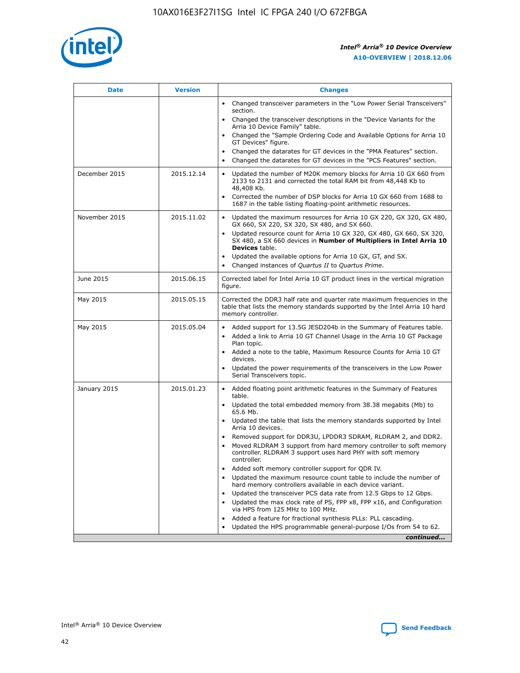

| <b>Date</b>   | <b>Version</b> | <b>Changes</b>                                                                                                                                                                   |
|---------------|----------------|----------------------------------------------------------------------------------------------------------------------------------------------------------------------------------|
|               |                | • Changed transceiver parameters in the "Low Power Serial Transceivers"<br>section.                                                                                              |
|               |                | • Changed the transceiver descriptions in the "Device Variants for the<br>Arria 10 Device Family" table.                                                                         |
|               |                | Changed the "Sample Ordering Code and Available Options for Arria 10<br>GT Devices" figure.                                                                                      |
|               |                | Changed the datarates for GT devices in the "PMA Features" section.                                                                                                              |
|               |                | Changed the datarates for GT devices in the "PCS Features" section.<br>$\bullet$                                                                                                 |
| December 2015 | 2015.12.14     | Updated the number of M20K memory blocks for Arria 10 GX 660 from<br>$\bullet$<br>2133 to 2131 and corrected the total RAM bit from 48,448 Kb to<br>48,408 Kb.                   |
|               |                | Corrected the number of DSP blocks for Arria 10 GX 660 from 1688 to<br>$\bullet$<br>1687 in the table listing floating-point arithmetic resources.                               |
| November 2015 | 2015.11.02     | Updated the maximum resources for Arria 10 GX 220, GX 320, GX 480,<br>$\bullet$<br>GX 660, SX 220, SX 320, SX 480, and SX 660.                                                   |
|               |                | Updated resource count for Arria 10 GX 320, GX 480, GX 660, SX 320,<br>$\bullet$<br>SX 480, a SX 660 devices in Number of Multipliers in Intel Arria 10<br><b>Devices</b> table. |
|               |                | Updated the available options for Arria 10 GX, GT, and SX.<br>$\bullet$                                                                                                          |
|               |                | Changed instances of Quartus II to Quartus Prime.<br>$\bullet$                                                                                                                   |
| June 2015     | 2015.06.15     | Corrected label for Intel Arria 10 GT product lines in the vertical migration<br>figure.                                                                                         |
| May 2015      | 2015.05.15     | Corrected the DDR3 half rate and quarter rate maximum frequencies in the<br>table that lists the memory standards supported by the Intel Arria 10 hard<br>memory controller.     |
| May 2015      | 2015.05.04     | • Added support for 13.5G JESD204b in the Summary of Features table.<br>• Added a link to Arria 10 GT Channel Usage in the Arria 10 GT Package<br>Plan topic.                    |
|               |                | • Added a note to the table, Maximum Resource Counts for Arria 10 GT<br>devices.                                                                                                 |
|               |                | Updated the power requirements of the transceivers in the Low Power<br>Serial Transceivers topic.                                                                                |
| January 2015  | 2015.01.23     | • Added floating point arithmetic features in the Summary of Features<br>table.                                                                                                  |
|               |                | • Updated the total embedded memory from 38.38 megabits (Mb) to<br>65.6 Mb.                                                                                                      |
|               |                | • Updated the table that lists the memory standards supported by Intel<br>Arria 10 devices.                                                                                      |
|               |                | Removed support for DDR3U, LPDDR3 SDRAM, RLDRAM 2, and DDR2.                                                                                                                     |
|               |                | Moved RLDRAM 3 support from hard memory controller to soft memory<br>controller. RLDRAM 3 support uses hard PHY with soft memory<br>controller.                                  |
|               |                | Added soft memory controller support for QDR IV.                                                                                                                                 |
|               |                | Updated the maximum resource count table to include the number of<br>hard memory controllers available in each device variant.                                                   |
|               |                | Updated the transceiver PCS data rate from 12.5 Gbps to 12 Gbps.<br>$\bullet$                                                                                                    |
|               |                | Updated the max clock rate of PS, FPP x8, FPP x16, and Configuration<br>via HPS from 125 MHz to 100 MHz.                                                                         |
|               |                | Added a feature for fractional synthesis PLLs: PLL cascading.                                                                                                                    |
|               |                | Updated the HPS programmable general-purpose I/Os from 54 to 62.                                                                                                                 |
|               |                | continued                                                                                                                                                                        |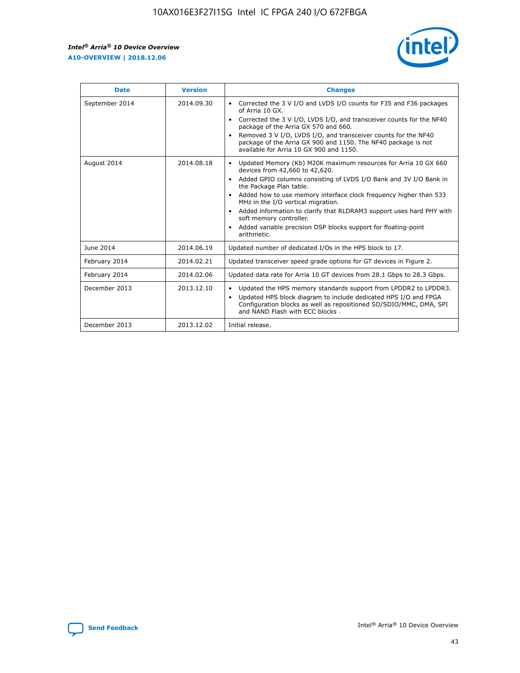

| <b>Date</b>    | <b>Version</b> | <b>Changes</b>                                                                                                                                                                                                                                                                                                                                                                                                                                                                                                                                                   |
|----------------|----------------|------------------------------------------------------------------------------------------------------------------------------------------------------------------------------------------------------------------------------------------------------------------------------------------------------------------------------------------------------------------------------------------------------------------------------------------------------------------------------------------------------------------------------------------------------------------|
| September 2014 | 2014.09.30     | Corrected the 3 V I/O and LVDS I/O counts for F35 and F36 packages<br>$\bullet$<br>of Arria 10 GX.<br>Corrected the 3 V I/O, LVDS I/O, and transceiver counts for the NF40<br>$\bullet$<br>package of the Arria GX 570 and 660.<br>Removed 3 V I/O, LVDS I/O, and transceiver counts for the NF40<br>$\bullet$<br>package of the Arria GX 900 and 1150. The NF40 package is not<br>available for Arria 10 GX 900 and 1150.                                                                                                                                       |
| August 2014    | 2014.08.18     | Updated Memory (Kb) M20K maximum resources for Arria 10 GX 660<br>$\bullet$<br>devices from 42,660 to 42,620.<br>Added GPIO columns consisting of LVDS I/O Bank and 3V I/O Bank in<br>$\bullet$<br>the Package Plan table.<br>Added how to use memory interface clock frequency higher than 533<br>$\bullet$<br>MHz in the I/O vertical migration.<br>Added information to clarify that RLDRAM3 support uses hard PHY with<br>$\bullet$<br>soft memory controller.<br>Added variable precision DSP blocks support for floating-point<br>$\bullet$<br>arithmetic. |
| June 2014      | 2014.06.19     | Updated number of dedicated I/Os in the HPS block to 17.                                                                                                                                                                                                                                                                                                                                                                                                                                                                                                         |
| February 2014  | 2014.02.21     | Updated transceiver speed grade options for GT devices in Figure 2.                                                                                                                                                                                                                                                                                                                                                                                                                                                                                              |
| February 2014  | 2014.02.06     | Updated data rate for Arria 10 GT devices from 28.1 Gbps to 28.3 Gbps.                                                                                                                                                                                                                                                                                                                                                                                                                                                                                           |
| December 2013  | 2013.12.10     | Updated the HPS memory standards support from LPDDR2 to LPDDR3.<br>$\bullet$<br>Updated HPS block diagram to include dedicated HPS I/O and FPGA<br>$\bullet$<br>Configuration blocks as well as repositioned SD/SDIO/MMC, DMA, SPI<br>and NAND Flash with ECC blocks.                                                                                                                                                                                                                                                                                            |
| December 2013  | 2013.12.02     | Initial release.                                                                                                                                                                                                                                                                                                                                                                                                                                                                                                                                                 |